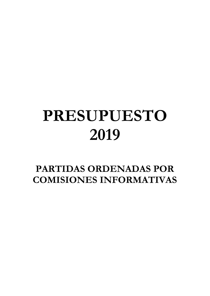# **PRESUPUESTO 2019**

**PARTIDAS ORDENADAS POR COMISIONES INFORMATIVAS**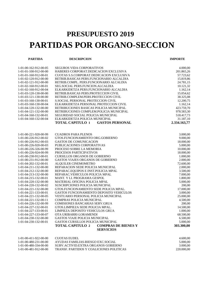## **PRESUPUESTO 2019 PARTIDAS POR ORGANO-SECCION**

**PARTIDA DESCRIPCION IMPORTE**

| 1-01-00-162-912-00-05 | SEGUROS VIDA CORPORATIVOS                             | 4.000,00     |
|-----------------------|-------------------------------------------------------|--------------|
| 1-01-01-100-912-00-00 | HABERES CORPORAT.DEDICACION EXCLUSIVA                 | 201.865,26   |
| 1-01-01-160-912-00-01 | CUOTAS S.S.CORPORAT.DEDICACION EXCLUSIVA              | 57.723,62    |
| 1-01-02-120-912-00-00 | RETRIB.BASICAS PERS.FUNCIONARIO ALCALDIA              | 15.819,86    |
| 1-01-02-121-912-00-00 | RETRIB.COMPL. PERS.FUNCIONARIO ALCALDIA               | 24.781,15    |
| 1-01-02-160-912-00-01 | SEG.SOCIAL PERS.FUNCION.ALCALDIA                      | 10.121,32    |
| 1-01-02-160-912-00-04 | ELKARKIDETZA PERS.FUNCIONARIO ALCALDIA                | 1.162,14     |
| 1-01-03-120-130-00-00 | RETRIB.BASICAS PERS.PROTECCION CIVIL                  | 15.054,62    |
| 1-01-03-121-130-00-00 | RETRIB.COMPLEM.PERS.PROTECCION CIVIL                  | 38.325,08    |
| 1-01-03-160-130-00-01 | <b>S.SOCIAL PERSONAL PROTECCION CIVIL</b>             | 12.200,75    |
| 1-01-03-160-130-00-04 | ELKARKIDETZA PERSONAL PROTECCION CIVIL                | 1.162,14     |
| 1-01-04-120-132-00-00 | RETRIBUCIONES BASICAS POLICIA MUNICIPAL               | 423.759,70   |
| 1-01-04-121-132-00-00 | RETRIBUCIONES COMPLEM.POLICIA MUNICIPAL               | 978.583,30   |
| 1-01-04-160-132-00-01 | SEGURIDAD SOCIAL POLICIA MUNICIPAL                    | 518.417,73   |
| 1-01-04-160-132-00-04 | ELKARKIDETZA POLICIA MUNICIPAL                        | 31.187,10    |
|                       | <b>TOTAL CAPITULO 1</b><br><b>GASTOS PERSONAL</b>     | 2.334.163,77 |
|                       |                                                       |              |
|                       |                                                       |              |
| 1-01-00-221-920-00-99 | <b>CUADROS PARA PLENOS</b>                            | 3.000,00     |
| 1-01-00-226-912-00-02 | GTOS.FUNCIONAMIENTO ORG.GOBIERNO                      | 9.000,00     |
| 1-01-00-226-912-00-03 | <b>GASTOS DE COMUNICACION</b>                         | 18.000,00    |
| 1-01-00-226-920-00-03 | PUBLICACIONES CORPORATIVAS                            | 5.000,00     |
| 1-01-00-226-326-00-99 | PROCESO SOBRE LA MEMORIA                              | 10.000,00    |
| 1-01-00-226-924-00-99 | PROCESOS PARTICIPATIVOS                               | 18.000,00    |
| 1-01-00-230-912-00-01 | <b>CURSILLOS ORGANOS DE GOBIERNO</b>                  | 1.000,00     |
| 1-01-00-231-912-00-00 | GASTOS VIAJES ORGANOS DE GOBIERNO                     | 2.000,00     |
| 1-01-04-202-132-00-01 | <b>ALQUILER CINEMOMETRO</b>                           | 72.600,00    |
| 1-01-04-211-132-00-00 | REPARACION SEDE POLICIA MUNICIPAL                     | 2.000,00     |
| 1-01-04-212-132-00-00 | REPARAC.EQUIPOS E INST.POLICIA MPAL                   | 3.500,00     |
| 1-01-04-213-132-00-00 | REPARAC. VEHICULOS POLICIA MPAL                       | 7.000,00     |
| 1-01-04-215-132-00-01 | MANT. Y LI. PROGRAMA GESPOL                           | 1.800,00     |
| 1-01-04-220-132-00-00 | MATERIAL OFICINA POLICIA MPAL                         | 5.000,00     |
| 1-01-04-220-132-00-02 | SUSCRIPCIONES POLICIA MUNICIPAL                       | 200,00       |
| 1-01-04-221-132-00-00 | GTOS.FUNCIONAMIENTO SEDE POLICIA MPAL.                | 17.000,00    |
| 1-01-04-221-133-00-01 | GASTOS FUNCIONAMIENTO DEPOSITO VEHICULOS              | 3.000,00     |
| 1-01-04-221-132-00-05 | VESTUARIO PERSONAL POLICIA MUNICIPAL                  | 25.000,00    |
| 1-01-04-221-132-00-11 | COMPRAS POLICIA MUNICIPAL                             | 4.500,00     |
| 1-01-04-226-132-00-99 | COMISIONES BANCARIAS SERV.GRUA                        | 200,00       |
| 1-01-04-227-132-00-01 | GTOS.LIMPIEZA SEDE POLICIA MPAL.                      | 14.500,00    |
| 1-01-04-227-133-00-01 | LIMPIEZA DEPOSITO VEHICULOS GRUA                      | 1.000,00     |
| 1-01-04-227-133-00-07 | OTA URIBARRI-LORAMENDI                                | 68.500,00    |
| 1-01-04-230-132-00-00 | GASTOS VIAJE POLICIA MUNICIPAL                        | 6.500,00     |
| 1-01-04-230-132-00-01 | GASTOS CURSILLOS POLICIA MUNICIPAL                    | 5.000,00     |
|                       | <b>TOTAL CAPITULO 2</b><br><b>COMPRAS DE BIENES Y</b> | 303.300,00   |
|                       | <b>SERVICIOS</b>                                      |              |
| 1-01-00-411-922-00-00 | <b>CUOTAS EUDEL</b>                                   | 4.600,00     |
| 1-01-00-480-231-00-00 | AYUDAS FAMILIAS-RIESGO EXC.SOCIAL                     | 5.000,00     |
| 1-01-00-480-334-00-00 | SUBV.ACTIVID.EXTRA ORGANOS GOBIERNO                   | 3.000,00     |

1-01-00-481-912-00-00 TRANSF. PARTIDOS Y COALICIONES POLITICAS 220.000,00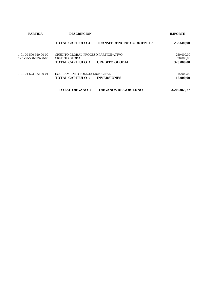| <b>PARTIDA</b>                                     | <b>DESCRIPCION</b>                                                                |                                  | <b>IMPORTE</b>                        |
|----------------------------------------------------|-----------------------------------------------------------------------------------|----------------------------------|---------------------------------------|
|                                                    | <b>TOTAL CAPITULO 4</b>                                                           | <b>TRANSFERENCIAS CORRIENTES</b> | 232.600,00                            |
| $1-01-00-500-920-00-00$<br>$1-01-00-500-929-00-00$ | CREDITO GLOBAL-PROCESO PARTICIPATIVO<br>CREDITO GLOBAL<br><b>TOTAL CAPITULO 5</b> | <b>CREDITO GLOBAL</b>            | 250.000,00<br>70.000,00<br>320.000,00 |
| 1-01-04-623-132-00-01                              | EQUIPAMIENTO POLICIA MUNICIPAL<br><b>TOTAL CAPITULO 6</b>                         | <b>INVERSIONES</b>               | 15.000,00<br>15.000,00                |
|                                                    | <b>TOTAL ORGANO 01</b>                                                            | <b>ORGANOS DE GOBIERNO</b>       | 3.205.063,77                          |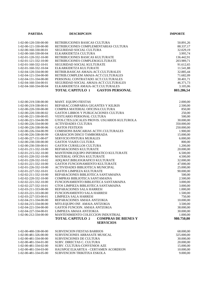| <b>PARTIDA</b>        | <b>DESCRIPCION</b>                                    | <b>IMPORTE</b> |
|-----------------------|-------------------------------------------------------|----------------|
|                       |                                                       |                |
| 1-02-00-120-330-00-00 | RETRIBUCIONES BASICAS CULTURA                         | 50.891,26      |
| 1-02-00-121-330-00-00 | RETRIBUCIONES COMPLEMENTARIAS CULTURA                 | 88.337,17      |
| 1-02-00-160-330-00-01 | <b>SEGURIDAD SOCIAL CULTURA</b>                       | 32.029,19      |
| 1-02-00-160-330-00-04 | ELKARKIDETZA CULTURA                                  | 3.995,74       |
| 1-02-01-120-332-10-00 | RETRIBUCIONES BASICAS KULTURATE                       | 136.442,91     |
| 1-02-01-121-332-10-00 | RETRIBUCIONES COMPLEM.KULTURATE                       | 203.989,71     |
| 1-02-01-160-332-10-01 | SEGURIDAD SOCIAL KULTURATE                            | 91.612,65      |
| 1-02-01-160-332-10-04 | ELKARKIDETZA KULTURATE                                | 11.541,88      |
| 1-02-04-120-334-00-00 | RETRIB.BASICAS AMAIA-ACT.CULTURALES                   | 32.885,44      |
| 1-02-04-121-334-00-00 | RETRIB.COMPLEM AMAIA-ACT.CULTURALES                   | 71.682,09      |
| 1-02-04-131-334-00-00 | PERSONAL CONTRATADO ACT.CULTURALES                    | 30.401,71      |
| 1-02-04-160-334-00-01 | SEGURIDAD SOCIAL AMAIA-ACT.CULTURALES                 | 46.371,73      |
| 1-02-04-160-334-00-04 | ELKARKIDETZA AMAIA-ACT.CULTURALES                     | 3.105,06       |
|                       | <b>TOTAL CAPITULO 1</b><br><b>GASTOS PERSONAL</b>     | 803.286,54     |
|                       |                                                       |                |
| 1-02-00-219-338-00-00 | <b>MANT. EQUIPO FIESTAS</b>                           | 2.000,00       |
| 1-02-00-219-338-00-01 | REPARAC.COMPARSA GIGANTES Y KILIKIS                   | 2.500,00       |
| 1-02-00-220-330-00-00 | COMPRA MATERIAL OFICINA: CULTURA                      | 850,00         |
| 1-02-00-220-330-00-02 | GASTOS LIBROS Y PUBLICACIONES CULTURA                 | 250,00         |
| 1-02-00-221-330-00-05 | <b>VESTUARIO PERSONAL CULTURA</b>                     | 500,00         |
| 1-02-00-221-334-00-99 | GTOS.CTES.LOCALES PROVIS. USUARIOS KULTUROLA          | 30.000,00      |
| 1-02-00-226-334-00-00 | <b>ACTIVIDADES CULTURA</b>                            | 350.000,00     |
| 1-02-00-226-338-00-06 | <b>GASTOS FESTEJOS</b>                                | 250.000,00     |
| 1-02-00-226-334-00-99 | COMISIONS BANCARIAS ACTIV.CULTURALES                  | 1.900,00       |
| 1-02-00-226-338-00-99 | <b>GRABACION DISCO TAMBORRADA</b>                     | 15.000,00      |
| 1-02-00-227-151-00-07 | <b>SERVICIO PINTURA MURALES</b>                       | 6.000,00       |
| 1-02-00-230-330-00-00 | <b>GASTOS VIAJES CULTURA</b>                          | 800,00         |
| 1-02-00-230-330-00-01 | GASTOS CURSILLOS CULTURA                              | 1.200,00       |
| 1-02-01-211-332-10-00 | REPARACIONES KULTURATE                                | 20.000,00      |
| 1-02-01-215-332-10-00 | MANTENIM.EQUIPO INFORMATICO KULTURATE                 | 6.500,00       |
| 1-02-01-220-332-10-00 | MATERIAL OFICINA KULTURATE                            | 4.500,00       |
| 1-02-01-220-332-10-02 | ADQ.MAT.BIBLIOGRAFICO KULTURATE                       | 32.000,00      |
| 1-02-01-221-332-10-00 | GASTOS FUNCIONAMIENTO KULTURATE                       | 47.000,00      |
| 1-02-01-226-332-10-00 | ACTIVIDADES BIBLIOTECA MUNICIPAL                      | 25.000,00      |
| 1-02-01-227-332-10-01 | <b>GASTOS LIMPIEZA KULTURATE</b>                      | 90.000,00      |
| 1-02-02-211-332-10-00 | REPARACIONES BIBLIOTECA SANTAMAINA                    | 500,00         |
| 1-02-02-220-332-10-00 | COMPRAS BIBLIOTECA SANTAMAINA                         | 2.500,00       |
| 1-02-02-221-332-10-00 | FUNCIONAMIENTO BIBLIOTECA SANTAMAINA                  | 3.000,00       |
| 1-02-02-227-332-10-01 | GTOS LIMPIEZA BIBLIOTECA SANTAMAINA                   | 3.000,00       |
| 1-02-03-211-333-00-00 | REPARACIONES SALA HARRESI                             | 1.000,00       |
| 1-02-03-221-333-00-00 | FUNCIONAMIENTO SALA HARRESI                           | 1.500,00       |
| 1-02-03-227-333-00-01 | LIMPIEZA SALA HARRESI                                 | 750,00         |
| 1-02-04-211-334-00-00 | REPARACIONES AMAIA ANTZOKIA                           | 10.000,00      |
| 1-02-04-215-334-00-00 | MTO.EQUIPO INF. AMAIA ANTZOKIA                        | 3.500,00       |
| 1-02-04-221-334-00-00 | <b>GASTOS FUNCION. AMAIA ANTZOKIA</b>                 | 38.000.00      |
| 1-02-04-227-334-00-01 | LIMPIEZA AMAIA ANTZOKIA                               | 30.000,00      |
| 1-02-06-212-334-00-00 | MANTENIMIENTO COLECCION INDUSTRIAL                    | 1.000,00       |
|                       | <b>TOTAL CAPITULO 2</b><br><b>COMPRAS DE BIENES Y</b> | 980.750,00     |
|                       | <b>SERVICIOS</b>                                      |                |
|                       |                                                       |                |
| 1-02-00-480-338-00-00 | <b>SUBVENCION FIESTAS BARRIOS</b>                     | 68.000,00      |
| 1-02-00-481-326-00-00 | <b>SUBVENCIONES ARRASATE MUSICAL</b>                  | 325.000,00     |
| 1-02-00-481-334-00-00 | SUBVENCIONES DE CULTURA                               | 30.000,00      |
| 1-02-00-481-334-01-00 | SUBV. DIRECTAS C. CULTURA                             | 20.000,00      |
| 1-02-00-481-334-02-00 | SUBV. CULTURA-CONVENIOS AZE                           | 15.000,00      |
| 1-02-00-481-334-03-00 | HAUSPOZ ELKARTEA - CERTAMEN ACORDEON                  | 10.000,00      |
| 1-02-00-481-334-05-00 | SUBVENCION TRIKITIXA ESKOLA                           | 9.000,00       |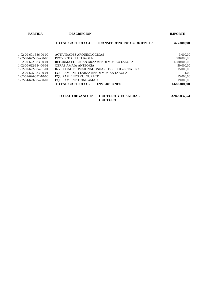|  |  | PARTIDA |  |  |
|--|--|---------|--|--|
|--|--|---------|--|--|

#### **PARTICUS IMPORTE**

### **TOTAL CAPITULO 4 TRANSFERENCIAS CORRIENTES 477.000,00**

| $1-02-00-601-336-00-00$             | ACTIVIDADES AROUEOLOGICAS                      | 3.000,00     |  |
|-------------------------------------|------------------------------------------------|--------------|--|
| $1 - 02 - 00 - 622 - 334 - 00 - 00$ | PROYECTO KULTUR-OLA                            | 500.000,00   |  |
| $1-02-00-622-333-00-01$             | REFORMA EDIF.JUAN ARZAMENDI MUSIKA ESKOLA      | 1.080.000,00 |  |
| $1-02-00-622-334-00-01$             | OBRAS AMAIA ANTZOKIA                           | 50.000,00    |  |
| $1-02-00-622-334-01-01$             | INV.LOCAL PROVISIONAL USUARIOS RELOJ ZERRAJERA | 15.000,00    |  |
| $1-02-00-625-333-00-01$             | EQUIPAMIENTO J.ARZAMENDI MUSIKA ESKOLA         | 1.00         |  |
| $1-02-01-626-332-10-00$             | EQUIPAMIENTO KULTURATE                         | 15.000,00    |  |
| $1-02-04-623-334-00-02$             | EQUIPAMIENTO CINE AMAIA                        | 19.000,00    |  |
|                                     | <b>TOTAL CAPITULO 6 INVERSIONES</b>            | 1.682.001,00 |  |
|                                     |                                                |              |  |

| <b>TOTAL ORGANO 02</b> | <b>CULTURA Y EUSKERA -</b> | 3.943.037,54 |
|------------------------|----------------------------|--------------|
|                        | <b>CULTURA</b>             |              |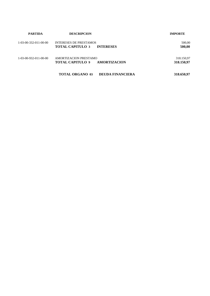| <b>PARTIDA</b>          | <b>DESCRIPCION</b>                                                           | <b>IMPORTE</b>           |
|-------------------------|------------------------------------------------------------------------------|--------------------------|
| $1-03-00-332-011-00-00$ | <b>INTERESES DE PRESTAMOS</b><br><b>TOTAL CAPITULO 3</b><br><b>INTERESES</b> | 500,00<br>500,00         |
| $1-03-00-932-011-00-00$ | AMORTIZACION PRESTAMO<br><b>TOTAL CAPITULO 9</b><br>AMORTIZACION             | 318.150,97<br>318.150,97 |
|                         | <b>TOTAL ORGANO 03</b><br><b>DEUDA FINANCIERA</b>                            | 318.650,97               |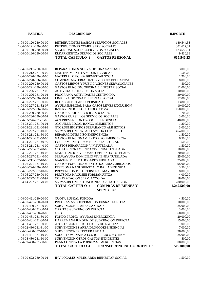| <b>PARTIDA</b>                                 | <b>DESCRIPCION</b>                                                                              | <b>IMPORTE</b> |
|------------------------------------------------|-------------------------------------------------------------------------------------------------|----------------|
|                                                |                                                                                                 |                |
| 1-04-00-120-230-00-00                          | RETRIBUCIONES BASICAS SERVICIOS SOCIALES                                                        | 180.544,53     |
| 1-04-00-121-230-00-00                          | RETRIBUCIONES COMPL.SERV.SOCIALES                                                               | 301.612,31     |
| 1-04-00-160-230-00-01                          | SEGURIDAD SOCIAL SERVICIOS SOCIALES                                                             | 123.559,11     |
| 1-04-00-160-230-00-04                          | ELKARKIDETZA SERVICIOS SOCIALES                                                                 | 9.830,38       |
|                                                | <b>TOTAL CAPITULO 1</b><br><b>GASTOS PERSONAL</b>                                               | 615.546,33     |
|                                                |                                                                                                 |                |
| 1-04-00-211-230-00-00                          | REPARACIONES NUEVA OFICINA SANIDAD                                                              | 3.000,00       |
| 1-04-00-212-231-00-00                          | <b>MANTENIMIENTO AYUDAS TECNICAS</b>                                                            | 500,00         |
| 1-04-00-220-230-00-00                          | MATERIAL OFICINA BIENESTAR SOCIAL                                                               | 1.200,00       |
| 1-04-00-220-326-00-00                          | COMPRAS MATERIAL INTERV.SOCIO EDUCATIVA                                                         | 8.000,00       |
| 1-04-00-220-230-00-02                          | GASTOS LIBROS Y PUBLICACIONES SERV. SOCIALES                                                    | 500,00         |
| 1-04-00-221-230-00-00                          | GASTOS FUNCION. OFICINA BIENESTAR SOCIAL                                                        | 12.000,00      |
| 1-04-00-226-231-82-00                          | ACTIVIDADES INCLUSION SOCIAL                                                                    | 10.000,00      |
| 1-04-00-226-231-20-01                          | PROGRAMA ACTIVIDADES CENTRO DIA                                                                 | 20.000,00      |
| 1-04-00-227-230-00-01                          | LIMPIEZA OFICINA BIENESTAR SOCIAL                                                               | 12.000,00      |
| 1-04-00-227-231-60-07                          | REDACCION PLAN DIVERSIDAD                                                                       | 13.800,00      |
| 1-04-00-227-231-82-07                          | AYUDA ESPECIAL PARA CASOS LEVES EXCLUSION                                                       | 10.000,00      |
| 1-04-00-227-326-00-07                          | <b>INTERVENCION SOCIO EDUCATIVA</b>                                                             | 150.000,00     |
| 1-04-00-230-230-00-00                          | <b>GASTOS VIAJE SERVICIOS SOCIALES</b>                                                          | 700,00         |
| 1-04-00-230-230-00-01                          | GASTOS CURSILLOS SERVICIOS SOCIALES                                                             | 3.000,00       |
| 1-04-02-226-231-81-00                          | ACT.PREVENCION DROGODEPENDENCIAS                                                                | 40.000,00      |
| 1-04-03-201-231-00-01                          | ALQUILER LOCAL BANCO ALIMENTOS                                                                  | 1.300,00       |
| 1-04-03-221-231-00-99                          | GTOS.SUMINISTROS SERV.BANCO ALIMENTOS                                                           | 3.000,00       |
| 1-04-03-227-231-10-00                          | SERV.SUBCONTRATADO AYUDA DOMICILIO                                                              | 454.000,00     |
| 1-04-04-211-231-50-00                          | REPARACIONES PISO EMERGENCIA                                                                    | 1.500,00       |
| 1-04-04-221-231-50-00                          | GASTOS FUNCIONAMIENTO PISO EMERGENCIA                                                           | 6.500,00       |
| 1-04-04-221-231-40-99                          | EQUIPAMIENTO PISOS BIENESTAR SOCIAL                                                             | 1.500,00       |
| 1-04-05-211-231-40-00                          | <b>GASTOS REPARACION VIV.TUTELADA</b>                                                           | 1.500,00       |
| 1-04-05-221-231-40-00                          | GTO.FUNCIONAMIENTO VIVIENDA TUTELADA                                                            | 10.000,00      |
| 1-04-05-221-231-40-06                          | MANUTENCION Y LAVAND. VIVIENDA TUTELADA                                                         | 20.000,00      |
| 1-04-05-227-231-40-00                          | SERV.AYUDA DOMICILIO VIVIENDA TUTELADA                                                          | 25.000,00      |
| 1-04-06-211-337-10-00                          | MANTENIMIENTO HOGARES JUBILADO                                                                  | 25.000,00      |
| 1-04-06-221-337-10-00                          | GASTOS FUNCIONAMIENTO HOGARES JUBILADOS                                                         | 95.000,00      |
| 1-04-06-226-230-00-03                          | PERTSONA NAGUSIENTZAKO BALIABIDE GIDA                                                           | 3.500,00       |
| 1-04-06-227-337-10-07                          | PREVENCION PISOS PERSONAS MAYORES                                                               | 8.000,00       |
| 1-04-06-227-230-00-99                          | PERTSONA NAGUSIEI FORMAKUNTZA                                                                   | 4.000,00       |
| 1-04-07-227-231-60-99<br>1-04-14-227-231-70-07 | <b>CONTRATACION SERV. ACOGIDA</b>                                                               | 18.000,00      |
|                                                | SERV.SUBCONT-SITUACIONES DESPROTECCION<br><b>TOTAL CAPITULO 2</b><br><b>COMPRAS DE BIENES Y</b> | 280.000,00     |
|                                                | <b>SERVICIOS</b>                                                                                | 1.242.500,00   |
|                                                |                                                                                                 |                |
| 1-04-00-421-230-20-00                          | <b>CUOTA EUSKAL FONDOA</b>                                                                      | 4.500,00       |
| 1-04-00-421-230-20-01                          | PROGRAMAS COOPERACION EUSKAL FONDOA                                                             | 10.000,00      |
| 1-04-00-480-231-00-00                          | <b>SUBVENCIONES AREA SANIDAD</b>                                                                | 25.000,00      |
| 1-04-00-480-231-00-01                          | CARITAS-SUBVENCION DIRECTA                                                                      | 3.000,00       |
| 1-04-00-481-230-20-00                          | <b>ONG</b>                                                                                      | 60.000,00      |
| 1-04-00-481-231-30-00                          | FONDO PROPIO - AYUDAS EMERGENCIA                                                                | 20.000,00      |
| 1-04-00-481-231-30-01                          | HARREMAN-MUNDUKIDE SUBVENCION DIRECTA                                                           | 15.000,00      |
| 1-04-01-431-231-90-00                          | APORTACION DEFICIT ITURBIDE EGOITZA                                                             | 1.000,00       |
| 1-04-02-480-231-81-00                          | SUBVENCIONES AREA DROGODEPENDENCIAS                                                             | 7.000,00       |
| 1-04-06-480-337-10-00                          | SUBVENCIONES TERCERA EDAD                                                                       | 38.000,00      |
| 1-04-06-481-337-10-00                          | SUDC - HOMENAJE A LOS JUBILADOS Y OTROS                                                         | 25.000,00      |
| 1-04-08-480-231-60-00                          | SUBVENCION OTROS GASTOS-INDIGENTES                                                              | 500,00         |
| 1-04-09-480-231-30-00                          | PLAN CONTRA LA POBREZA-EMERGENCIAS                                                              | 300.000,00     |
|                                                | <b>TOTAL CAPITULO 4</b><br><b>TRANSFERENCIAS CORRIENTES</b>                                     | 509.000,00     |
|                                                |                                                                                                 |                |

1-04-00-622-230-00-01 INV.LOCALES MPLES AREA BIENESTAR SOCIAL 1.500,00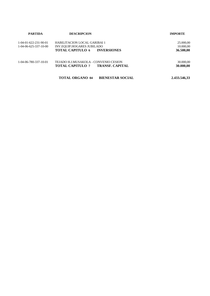| <b>PARTIDA</b>                                                 | <b>DESCRIPCION</b>                                         | <b>IMPORTE</b>         |
|----------------------------------------------------------------|------------------------------------------------------------|------------------------|
| $1-04-01-622-231-90-01$<br>$1 - 04 - 06 - 625 - 337 - 10 - 00$ | HABILITACION LOCAL GARIBAI 1<br>INV.EQUIP.HOGARES JUBILADO | 25.000,00<br>10.000,00 |
|                                                                | <b>INVERSIONES</b><br><b>TOTAL CAPITULO 6</b>              | 36.500,00              |
| 1-04-06-780-337-10-01                                          | TEJADO H.J.MUSAKOLA - CONVENIO CESION                      | 30.000,00              |
|                                                                | <b>TOTAL CAPITULO 7</b><br><b>TRANSF. CAPITAL</b>          | 30.000,00              |
|                                                                | <b>TOTAL ORGANO 04</b><br><b>BIENESTAR SOCIAL</b>          | 2.433.546,33           |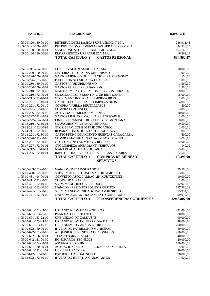| <b>PARTIDA</b>                                 | <b>DESCRIPCION</b>                                             | <b>IMPORTE</b>         |
|------------------------------------------------|----------------------------------------------------------------|------------------------|
|                                                |                                                                |                        |
| 1-05-00-120-150-00-00                          | RETRIBUCIONES BASICAS URBANISMO Y M.A.                         | 236.911,43             |
| 1-05-00-121-150-00-00                          | RETRIBUC.COMPLEMENTARIAS URBANISMO Y M.A.                      | 424.533,05             |
| 1-05-00-160-150-00-01                          | SEGURIDAD SOCIAL URBANISMO Y M.A.                              | 157.148,90             |
| 1-05-00-160-150-00-04                          | ELKARKIDETZA URBANISMO Y M.A.                                  | 16.269,19              |
|                                                | <b>TOTAL CAPITULO 1</b><br><b>GASTOS PERSONAL</b>              | 834.862,57             |
|                                                |                                                                |                        |
| 1-05-00-211-494-00-00                          | <b>CONSERVACION AMBITO GARAIA</b>                              | 10.000,00              |
| 1-05-00-220-150-00-00                          | MATERIAL DE OFICINA URBANISMO                                  | 1.000,00               |
| 1-05-00-220-150-00-02                          | <b>GASTOS LIBROS Y PUBLICACIONES URBANISMO</b>                 | 150,00                 |
| 1-05-00-226-151-00-00                          | EJECUCION SUBSIDIARIA DE OBRAS                                 | 1.000,00               |
| 1-05-00-230-150-00-00                          | <b>GASTOS VIAJE URBANISMO</b>                                  | 1.500,00               |
| 1-05-00-230-150-00-01                          | <b>GASTOS CURSILLO URBANISMO</b>                               | 1.500,00               |
| 1-05-10-210-172-00-00                          | MANTENIMIENTO ESPACIOS PUBLICOS RURALES                        | 8.000,00               |
| 1-05-10-210-172-00-01                          | SENALIZACION Y MANT.NATUR BIDE SAREA                           | 15.000,00              |
| 1-05-10-211-171-10-01                          | GTOS. MANT.INSTALAC. LIMPIEZA BICIS                            | 1.000,00               |
| $1-05-10-221-171-10-01$                        | GASTOS FUNC. INSTALC. LIMPIEZA BICIS                           | 4.000,00               |
| 1-05-10-221-172-00-10                          | COMPRA VAJILLA REUTILIZABLE                                    | 500,00                 |
| 1-05-10-221-162-10-99                          | <b>COMPRA CONTENEDORES</b>                                     | 3.000,00               |
| 1-05-10-226-172-00-00                          | <b>ACTIVIDADES MEDIO AMBIENTE</b>                              | 10.000,00              |
| 1-05-10-227-172-00-01                          | <b>GASTOS LIMPIEZA VAJILLA REUTILIZABLE</b>                    | 1.000,00               |
| 1-05-10-227-454-00-01                          | LIMPIEZA CAMINOS RURALES Y DE MONTAÑA                          | 8.000,00               |
| 1-05-12-210-172-10-01                          | SERV.SUBCONTRAT.MANTEN.AKEI                                    | 19.500,00              |
| 1-05-13-221-162-00-99                          | GTOS. SERV. COMPOSTAJE ORGANICO                                | 1.000,00               |
| 1-05-14-211-172-30-00                          | REPARACIONES HUERTAS GARAGARZA                                 | 1.000,00               |
| 1-05-14-221-172-30-00                          | GASTOS FUNCIONAMIENTO HUERTAS GARAGARZA                        | 600,00                 |
| 1-05-15-220-172-00-00                          | COMPRA MATERIAL TRABAJOS FORESTALES                            | 3.000,00               |
| 1-05-17-221-172-00-00                          | GTO.FUNC.INSTAL.MTO.VEHICULOS                                  | 12.000,00              |
| 1-05-17-227-172-00-01                          | GTO.LIMPIEZA AREA MANT.VEHICULOS                               | 140,00                 |
| 1-05-21-212-172-10-01                          | MANT.PLACAS FOTOVOLTAICAS                                      | 5.000,00               |
| 1-05-21-225-172-10-01                          | IMPTO.PRODUCC.ELECTRICA PLACAS SOLARES                         | 2.500,00               |
|                                                | <b>TOTAL CAPITULO 2</b><br><b>COMPRAS DE BIENES Y</b>          | 110.390,00             |
|                                                | <b>SERVICIOS</b>                                               |                        |
| 1-05-00-433-152-20-00                          | MANCOMUNIDAD-SURADESA                                          | 29.500,00              |
| 1-05-10-480-172-00-00                          | SUBVENCION ENTIDADES MEDIO AMBIENTE                            | 3.000,00               |
| 1-05-10-481-414-00-01                          | CONVENIO ASOC.LARRAGAIN-KURTZETZIKI                            | 10.000,00              |
| 1-05-15-411-172-00-00                          | <b>CUOTA UDALSAREA</b>                                         | 1.000,00               |
| 1-05-18-421-162-10-00                          | SERV. MANC.-RECOG.RESIDUOS                                     | 992.973,66             |
| 1-05-18-421-162-20-00                          | MANCOM.-RESIDUOS SOLIDOS GESTION                               | 197.366,39             |
| 1-05-19-421-162-30-00                          | SERV. MANCOMUNIDAD-TRATAM.RESIDUOS                             | 615.954,69             |
| 1-05-20-421-162-30-00                          | MANCOMUNIDAD TRATAMIENTO GARBIGUNE                             | 99.012,95              |
|                                                | <b>TOTAL CAPITULO 4</b><br><b>TRANSFERENCIAS CORRIENTES</b>    | 1.948.807,69           |
|                                                |                                                                |                        |
| 1-05-00-601-151-03-00                          | URBANIZACION UDALA GOIKOA                                      | 22.000,00              |
| 1-05-00-601-153-21-00                          | PLAN CASCO HISTORICO                                           | 20.000,00              |
| 1-05-00-601-153-22-00                          | URBANIZACION ZALDUSPE                                          | 90.000,00              |
| 1-05-00-601-153-44-00                          | URBANIZACION HONDARRIBIA KALEA                                 | 48.000,00              |
| 1-05-00-601-153-45-00                          | URBANIZACION ARABA ETORBIDEA                                   | 200.000,00             |
| 1-05-00-622-150-00-00                          | <b>INVERSION PATRIMONIO MUNICIPAL</b>                          | 60.000,00              |
| 1-05-00-622-151-00-00                          | ADQUISICION BIENES PATRIMONIALES                               | 210.000,00             |
| 1-05-00-622-336-00-01                          | TEJADO BARRENATXO                                              | 40.000,00              |
| 1-05-00-642-151-00-00                          | HONORARIOS TECNICOS                                            | 20.000,00              |
| 1-05-01-601-134-00-01<br>1-05-10-601-170-00-01 | <b>ASCENSOR ERGUIN</b><br>ACTUACIONES RECUPERACION ETXEZARRETA | 100.000,00<br>5.000,00 |
| 1-05-10-601-172-01-01                          | HUMEDAL ANTOÑA                                                 | 40.000,00              |
| 1-05-12-642-172-40-00                          | <b>ESTUDIOS CALIDAD SUELO</b>                                  | 20.000,00              |
| 1-05-14-622-172-30-00                          | INVERSION HUERTAS GARAGARTZA                                   | 1.000,00               |
|                                                |                                                                |                        |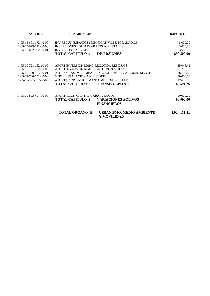| <b>PARTIDA</b>                         | <b>DESCRIPCION</b>                      |                                                    | <b>IMPORTE</b> |  |
|----------------------------------------|-----------------------------------------|----------------------------------------------------|----------------|--|
| $1-05-15-601-172-40-00$                |                                         | INV.RECUP. ESPACIOS SIGNIFICATIVOS-DEGRADADOS      | 8.000,00       |  |
| 1-05-15-623-172-00-00                  | INVERSIONES EQUIP.TRABAJOS FORESTALES   |                                                    | 3.000,00       |  |
| 1-05-17-622-172-00-01                  | <b>INVERSION GARBIGUNE</b>              |                                                    | 3.500,00       |  |
|                                        | <b>TOTAL CAPITULO 6</b>                 | <b>INVERSIONES</b>                                 | 890.500,00     |  |
| $1-05-00-721-162-10-00$                | APORT. INVERSION MANC-RECOGIDA RESIDUOS |                                                    | 35.046,41      |  |
| $1 - 0.5 - 0.0 - 721 - 162 - 20 - 0.0$ | APORT INVERSION MANC.-GESTION RESIDUOS  |                                                    | 707,99         |  |
| $1 - 05 - 00 - 780 - 153 - 00 - 01$    |                                         | APOR.OBRAS IMPERMEABILIZACION TERRAZAS GRUPO MENTU | 86.137,00      |  |
| 1-05-01-780-152-20-00                  | <b>SUBV.INSTALACION ASCENSORES</b>      |                                                    | 10.000,00      |  |
| $1-05-18-721-162-00-00$                | APORTAC.INVERSION MANCOMUNIDAD - EPELE  |                                                    | 17.699,85      |  |
|                                        | TOTAL CAPITULO 7                        | <b>TRANSF. CAPITAL</b>                             | 149.591,25     |  |
| $1 - 05 - 00 - 853 - 494 - 00 - 00$    | APORTACION CAPITAL GARAIA S.COOP        |                                                    | 90.000,00      |  |
|                                        | <b>TOTAL CAPITULO 8</b>                 | <b>VARIACIONES ACTIVOS</b><br><b>FINANCIEROS</b>   | 90.000,00      |  |
|                                        | <b>TOTAL ORGANO 05</b>                  | URBANISMO, MEDIO AMBIENTE<br>Y MOVILIDAD           | 4.024.151,51   |  |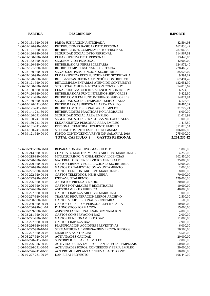| 1-06-00-161-920-00-03<br>PRIMA JUBILACION ANTICIPADA<br>82.594,93<br>RETRIBUCIONES BASICAS DPTO.PERSONAL<br>1-06-01-120-920-00-00<br>162.836,49<br>1-06-01-121-920-00-00<br>RETRIBUCIONES COMPLEM.DPTO.PERSONAL<br>287.048,50<br>1-06-01-160-920-00-01<br>SEGURIDAD SOCIAL DPTO.PERSONAL<br>114.967,61<br>1-06-01-160-920-00-04<br>ELKARKIDETZA DPTO.PERSONAL<br>13.443,85<br>42.000,00<br>1-06-01-162-920-00-05<br><b>SEGUROS VIDA PERSONAL</b><br>1-06-02-120-920-00-00<br>RETRIB.BáSICAS PERS.SECRETARIA<br>124.972,40<br>1-06-02-121-920-00-00<br>RETRIB. COMP. PERSONAL SECRETARIA<br>228.468,28<br>1-06-02-160-920-00-01<br>SEG.SOCIAL PERS.FUNCION. SECRETARIA<br>85.628,02<br>ELKARKIDETZA PERS.FUNCIONARIO SECRETARIA<br>9.997,82<br>1-06-02-160-920-00-04<br>RET. BASICAS OFICINA ATENCIÓN CONTRIBUYE<br>1-06-03-120-920-00-00<br>67.494,42<br>RET.COMPLEMENTARIAS ATENCION CONTRIBUYE<br>132.651,90<br>1-06-03-121-920-00-00<br>SEG.SOCIAL OFICINA ATENCION CONTRIBUY<br>1-06-03-160-920-00-01<br>54.015,67<br>1-06-03-160-920-00-04<br>ELKARKIDETZA. OFICINA ATENCION CONTRIBUY<br>6.274,10<br>5.422,90<br>1-06-07-120-920-00-00<br>RETRIB.BASICAS.FUNC.INTERINOS-SERV.GRLES<br>RETRIB.COMPLEM.FUNC.INTERINOS SERV.GRLES<br>14.824,94<br>1-06-07-121-920-00-00<br>6.126,90<br>1-06-07-160-920-00-01<br>SEGURIDAD SOCIAL TEMPORAL SERV.GRALES<br>1-06-10-120-241-00-00<br>RETRIB.BASICAS PERSONAL AREA EMPLEO<br>18.485,32<br>RETRIB.COMPL.PERSONAL AREA EMPLEO<br>31.722,21<br>1-06-10-121-241-00-00<br>RETRIBUCIONES PRACTICAS NO LABORALES<br>6.000,00<br>1-06-10-141-241-30-00<br>1-06-10-160-241-00-01<br>SEGURIDAD SOCIAL AREA EMPLEO<br>11.013,99<br>1-06-10-160-241-30-01<br>SEGURIDAD SOCIAL PRACTICAS NO LABORALES<br>1.000,00<br>1-06-10-160-241-00-04<br>ELKARKIDETZA PERSONAL AREA EMPLEO<br>1.416,80<br>PERSONAL TEMPORAL FOMENTO EMPLEO<br>311.820,54<br>1-06-11-131-241-00-00<br>1-06-11-160-241-00-01<br>S.SOCIAL FOMENTO EMPLEO PROGRAMA<br>106.007,83<br>275.000,00<br>1-06-99-121-920-00-00<br>FONDO CONTINGENCIA REVISION SALARIAL 2019<br><b>TOTAL CAPITULO 1</b><br>2.201.235,42<br><b>GASTOS PERSONAL</b><br>REPARACION ARCHIVO MARKULETE<br>1.000,00<br>1-06-00-211-920-00-01<br>4.250,00<br>1-06-00-214-920-00-00<br>CONTRATO MANTENIMIENTO ARCHIVO MARKULETE<br>1-06-00-215-920-00-00<br>MTO.EQUIP.INFO. Y OFIM.-RENOV. LICENCIAS<br>102.450,00<br>MATERIAL OFICINA SERVICIOS GENERALES<br>1-06-00-220-920-00-00<br>35.000,00<br>1-06-00-220-920-00-02<br>GASTOS LIBROS Y PUBLICACIONES SECRETARIA<br>12.000,00<br>2.000,00<br>1-06-00-220-920-00-99<br>GASTOS ORNAMENTACION AYUNTAMIENTO<br>1-06-00-221-920-00-01<br>GASTOS FUNCION. ARCHIVO MARKULETE<br>8.000,00<br>1-06-00-222-920-00-01<br>GASTOS TELEFONOS, MENSAJERIA<br>70.000,00<br>1-06-00-222-920-00-05<br>IZFE-AYUNTAMIENTO<br>179.000,00<br>1-06-00-226-920-00-03<br>ANUNCIOS PRENSA Y RADIO<br>20.000,00<br>GASTOS NOTARIALES Y REGISTRALES<br>10.000,00<br>1-06-00-226-920-00-04<br>1-06-00-226-920-00-05<br>ASESORAMIENTO JURIDICO<br>40.000,00<br>GASTOS LIMPIEZA ARCHIVO MARKULETE<br>1-06-00-227-920-00-01<br>1.000,00<br>1-06-00-227-920-00-99<br>TRABAJO RECUPERACION LIBROS ARCHIVO<br>2.500,00<br>GASTOS VIAJE PERSONAL SECRETARIA<br>1-06-00-230-920-00-00<br>500,00<br>1-06-00-230-920-00-01<br>GASTOS CURSILLOS PERSONAL SECRETARIA<br>10.000,00<br>1-06-00-230-920-01-01<br>DIAGNOSTICO FORMACION<br>15.000,00<br>1-06-00-239-920-00-00<br>ASISTENCIA TRIBUNALES-INDEMNIZACION<br>4.000,00<br>1-06-03-211-920-00-00<br><b>GASTOS CONSERVACION BAZ</b><br>2.000,00<br>1-06-03-221-920-00-00<br><b>GASTOS FUNCIONAMIENTO BAZ</b><br>11.000,00<br>1-06-03-227-920-00-01<br><b>GASTOS LIMPIEZA BAZ</b><br>7.900,00<br>PLANIFICACION ACCIONES PREVENTIVAS<br>1-06-05-226-920-10-99<br>6.000,00<br>1-06-05-227-920-10-07<br>SERV.MEDICINA EMPRESA-PREVENCION RIESGOS<br>56.500,00<br>1-06-05-227-920-20-07<br>MEDICINA ASISTENCIAL<br>5.500,00<br>1-06-06-227-920-00-07<br><b>ACTIVIDADES CALIDAD</b><br>20.000,00<br>SUSCRIPCIONES AREA EMPLEO<br>1-06-10-220-241-00-02<br>2.000,00<br>1-06-10-226-326-00-00<br>ACTIVIDAD. AREA EMPLEO-PLAN ESPECIAL EMPLEAB.<br>50.000,00<br>1-06-10-226-241-00-05<br>ACTIVIDADES FOROS, CONGRESOS Y FERIA EMPLEO<br>30.000,00<br>1-06-10-226-241-10-99<br>ACT.PROMO.IMPLANTAC.NUEVAS ACT.ECONO.<br>10.000,00<br>1-06-10-227-231-00-07<br>LAN-R BAI PROYECTO<br>106.440,00 | <b>PARTIDA</b> | <b>DESCRIPCION</b> | <b>IMPORTE</b> |
|-------------------------------------------------------------------------------------------------------------------------------------------------------------------------------------------------------------------------------------------------------------------------------------------------------------------------------------------------------------------------------------------------------------------------------------------------------------------------------------------------------------------------------------------------------------------------------------------------------------------------------------------------------------------------------------------------------------------------------------------------------------------------------------------------------------------------------------------------------------------------------------------------------------------------------------------------------------------------------------------------------------------------------------------------------------------------------------------------------------------------------------------------------------------------------------------------------------------------------------------------------------------------------------------------------------------------------------------------------------------------------------------------------------------------------------------------------------------------------------------------------------------------------------------------------------------------------------------------------------------------------------------------------------------------------------------------------------------------------------------------------------------------------------------------------------------------------------------------------------------------------------------------------------------------------------------------------------------------------------------------------------------------------------------------------------------------------------------------------------------------------------------------------------------------------------------------------------------------------------------------------------------------------------------------------------------------------------------------------------------------------------------------------------------------------------------------------------------------------------------------------------------------------------------------------------------------------------------------------------------------------------------------------------------------------------------------------------------------------------------------------------------------------------------------------------------------------------------------------------------------------------------------------------------------------------------------------------------------------------------------------------------------------------------------------------------------------------------------------------------------------------------------------------------------------------------------------------------------------------------------------------------------------------------------------------------------------------------------------------------------------------------------------------------------------------------------------------------------------------------------------------------------------------------------------------------------------------------------------------------------------------------------------------------------------------------------------------------------------------------------------------------------------------------------------------------------------------------------------------------------------------------------------------------------------------------------------------------------------------------------------------------------------------------------------------------------------------------------------------------------------------------------------------------------------------------------------------------------------------------------------------------------------------------------------------------------------------------------------------------------------------------------------------------------|----------------|--------------------|----------------|
|                                                                                                                                                                                                                                                                                                                                                                                                                                                                                                                                                                                                                                                                                                                                                                                                                                                                                                                                                                                                                                                                                                                                                                                                                                                                                                                                                                                                                                                                                                                                                                                                                                                                                                                                                                                                                                                                                                                                                                                                                                                                                                                                                                                                                                                                                                                                                                                                                                                                                                                                                                                                                                                                                                                                                                                                                                                                                                                                                                                                                                                                                                                                                                                                                                                                                                                                                                                                                                                                                                                                                                                                                                                                                                                                                                                                                                                                                                                                                                                                                                                                                                                                                                                                                                                                                                                                                                                                                         |                |                    |                |
|                                                                                                                                                                                                                                                                                                                                                                                                                                                                                                                                                                                                                                                                                                                                                                                                                                                                                                                                                                                                                                                                                                                                                                                                                                                                                                                                                                                                                                                                                                                                                                                                                                                                                                                                                                                                                                                                                                                                                                                                                                                                                                                                                                                                                                                                                                                                                                                                                                                                                                                                                                                                                                                                                                                                                                                                                                                                                                                                                                                                                                                                                                                                                                                                                                                                                                                                                                                                                                                                                                                                                                                                                                                                                                                                                                                                                                                                                                                                                                                                                                                                                                                                                                                                                                                                                                                                                                                                                         |                |                    |                |
|                                                                                                                                                                                                                                                                                                                                                                                                                                                                                                                                                                                                                                                                                                                                                                                                                                                                                                                                                                                                                                                                                                                                                                                                                                                                                                                                                                                                                                                                                                                                                                                                                                                                                                                                                                                                                                                                                                                                                                                                                                                                                                                                                                                                                                                                                                                                                                                                                                                                                                                                                                                                                                                                                                                                                                                                                                                                                                                                                                                                                                                                                                                                                                                                                                                                                                                                                                                                                                                                                                                                                                                                                                                                                                                                                                                                                                                                                                                                                                                                                                                                                                                                                                                                                                                                                                                                                                                                                         |                |                    |                |
|                                                                                                                                                                                                                                                                                                                                                                                                                                                                                                                                                                                                                                                                                                                                                                                                                                                                                                                                                                                                                                                                                                                                                                                                                                                                                                                                                                                                                                                                                                                                                                                                                                                                                                                                                                                                                                                                                                                                                                                                                                                                                                                                                                                                                                                                                                                                                                                                                                                                                                                                                                                                                                                                                                                                                                                                                                                                                                                                                                                                                                                                                                                                                                                                                                                                                                                                                                                                                                                                                                                                                                                                                                                                                                                                                                                                                                                                                                                                                                                                                                                                                                                                                                                                                                                                                                                                                                                                                         |                |                    |                |
|                                                                                                                                                                                                                                                                                                                                                                                                                                                                                                                                                                                                                                                                                                                                                                                                                                                                                                                                                                                                                                                                                                                                                                                                                                                                                                                                                                                                                                                                                                                                                                                                                                                                                                                                                                                                                                                                                                                                                                                                                                                                                                                                                                                                                                                                                                                                                                                                                                                                                                                                                                                                                                                                                                                                                                                                                                                                                                                                                                                                                                                                                                                                                                                                                                                                                                                                                                                                                                                                                                                                                                                                                                                                                                                                                                                                                                                                                                                                                                                                                                                                                                                                                                                                                                                                                                                                                                                                                         |                |                    |                |
|                                                                                                                                                                                                                                                                                                                                                                                                                                                                                                                                                                                                                                                                                                                                                                                                                                                                                                                                                                                                                                                                                                                                                                                                                                                                                                                                                                                                                                                                                                                                                                                                                                                                                                                                                                                                                                                                                                                                                                                                                                                                                                                                                                                                                                                                                                                                                                                                                                                                                                                                                                                                                                                                                                                                                                                                                                                                                                                                                                                                                                                                                                                                                                                                                                                                                                                                                                                                                                                                                                                                                                                                                                                                                                                                                                                                                                                                                                                                                                                                                                                                                                                                                                                                                                                                                                                                                                                                                         |                |                    |                |
|                                                                                                                                                                                                                                                                                                                                                                                                                                                                                                                                                                                                                                                                                                                                                                                                                                                                                                                                                                                                                                                                                                                                                                                                                                                                                                                                                                                                                                                                                                                                                                                                                                                                                                                                                                                                                                                                                                                                                                                                                                                                                                                                                                                                                                                                                                                                                                                                                                                                                                                                                                                                                                                                                                                                                                                                                                                                                                                                                                                                                                                                                                                                                                                                                                                                                                                                                                                                                                                                                                                                                                                                                                                                                                                                                                                                                                                                                                                                                                                                                                                                                                                                                                                                                                                                                                                                                                                                                         |                |                    |                |
|                                                                                                                                                                                                                                                                                                                                                                                                                                                                                                                                                                                                                                                                                                                                                                                                                                                                                                                                                                                                                                                                                                                                                                                                                                                                                                                                                                                                                                                                                                                                                                                                                                                                                                                                                                                                                                                                                                                                                                                                                                                                                                                                                                                                                                                                                                                                                                                                                                                                                                                                                                                                                                                                                                                                                                                                                                                                                                                                                                                                                                                                                                                                                                                                                                                                                                                                                                                                                                                                                                                                                                                                                                                                                                                                                                                                                                                                                                                                                                                                                                                                                                                                                                                                                                                                                                                                                                                                                         |                |                    |                |
|                                                                                                                                                                                                                                                                                                                                                                                                                                                                                                                                                                                                                                                                                                                                                                                                                                                                                                                                                                                                                                                                                                                                                                                                                                                                                                                                                                                                                                                                                                                                                                                                                                                                                                                                                                                                                                                                                                                                                                                                                                                                                                                                                                                                                                                                                                                                                                                                                                                                                                                                                                                                                                                                                                                                                                                                                                                                                                                                                                                                                                                                                                                                                                                                                                                                                                                                                                                                                                                                                                                                                                                                                                                                                                                                                                                                                                                                                                                                                                                                                                                                                                                                                                                                                                                                                                                                                                                                                         |                |                    |                |
|                                                                                                                                                                                                                                                                                                                                                                                                                                                                                                                                                                                                                                                                                                                                                                                                                                                                                                                                                                                                                                                                                                                                                                                                                                                                                                                                                                                                                                                                                                                                                                                                                                                                                                                                                                                                                                                                                                                                                                                                                                                                                                                                                                                                                                                                                                                                                                                                                                                                                                                                                                                                                                                                                                                                                                                                                                                                                                                                                                                                                                                                                                                                                                                                                                                                                                                                                                                                                                                                                                                                                                                                                                                                                                                                                                                                                                                                                                                                                                                                                                                                                                                                                                                                                                                                                                                                                                                                                         |                |                    |                |
|                                                                                                                                                                                                                                                                                                                                                                                                                                                                                                                                                                                                                                                                                                                                                                                                                                                                                                                                                                                                                                                                                                                                                                                                                                                                                                                                                                                                                                                                                                                                                                                                                                                                                                                                                                                                                                                                                                                                                                                                                                                                                                                                                                                                                                                                                                                                                                                                                                                                                                                                                                                                                                                                                                                                                                                                                                                                                                                                                                                                                                                                                                                                                                                                                                                                                                                                                                                                                                                                                                                                                                                                                                                                                                                                                                                                                                                                                                                                                                                                                                                                                                                                                                                                                                                                                                                                                                                                                         |                |                    |                |
|                                                                                                                                                                                                                                                                                                                                                                                                                                                                                                                                                                                                                                                                                                                                                                                                                                                                                                                                                                                                                                                                                                                                                                                                                                                                                                                                                                                                                                                                                                                                                                                                                                                                                                                                                                                                                                                                                                                                                                                                                                                                                                                                                                                                                                                                                                                                                                                                                                                                                                                                                                                                                                                                                                                                                                                                                                                                                                                                                                                                                                                                                                                                                                                                                                                                                                                                                                                                                                                                                                                                                                                                                                                                                                                                                                                                                                                                                                                                                                                                                                                                                                                                                                                                                                                                                                                                                                                                                         |                |                    |                |
|                                                                                                                                                                                                                                                                                                                                                                                                                                                                                                                                                                                                                                                                                                                                                                                                                                                                                                                                                                                                                                                                                                                                                                                                                                                                                                                                                                                                                                                                                                                                                                                                                                                                                                                                                                                                                                                                                                                                                                                                                                                                                                                                                                                                                                                                                                                                                                                                                                                                                                                                                                                                                                                                                                                                                                                                                                                                                                                                                                                                                                                                                                                                                                                                                                                                                                                                                                                                                                                                                                                                                                                                                                                                                                                                                                                                                                                                                                                                                                                                                                                                                                                                                                                                                                                                                                                                                                                                                         |                |                    |                |
|                                                                                                                                                                                                                                                                                                                                                                                                                                                                                                                                                                                                                                                                                                                                                                                                                                                                                                                                                                                                                                                                                                                                                                                                                                                                                                                                                                                                                                                                                                                                                                                                                                                                                                                                                                                                                                                                                                                                                                                                                                                                                                                                                                                                                                                                                                                                                                                                                                                                                                                                                                                                                                                                                                                                                                                                                                                                                                                                                                                                                                                                                                                                                                                                                                                                                                                                                                                                                                                                                                                                                                                                                                                                                                                                                                                                                                                                                                                                                                                                                                                                                                                                                                                                                                                                                                                                                                                                                         |                |                    |                |
|                                                                                                                                                                                                                                                                                                                                                                                                                                                                                                                                                                                                                                                                                                                                                                                                                                                                                                                                                                                                                                                                                                                                                                                                                                                                                                                                                                                                                                                                                                                                                                                                                                                                                                                                                                                                                                                                                                                                                                                                                                                                                                                                                                                                                                                                                                                                                                                                                                                                                                                                                                                                                                                                                                                                                                                                                                                                                                                                                                                                                                                                                                                                                                                                                                                                                                                                                                                                                                                                                                                                                                                                                                                                                                                                                                                                                                                                                                                                                                                                                                                                                                                                                                                                                                                                                                                                                                                                                         |                |                    |                |
|                                                                                                                                                                                                                                                                                                                                                                                                                                                                                                                                                                                                                                                                                                                                                                                                                                                                                                                                                                                                                                                                                                                                                                                                                                                                                                                                                                                                                                                                                                                                                                                                                                                                                                                                                                                                                                                                                                                                                                                                                                                                                                                                                                                                                                                                                                                                                                                                                                                                                                                                                                                                                                                                                                                                                                                                                                                                                                                                                                                                                                                                                                                                                                                                                                                                                                                                                                                                                                                                                                                                                                                                                                                                                                                                                                                                                                                                                                                                                                                                                                                                                                                                                                                                                                                                                                                                                                                                                         |                |                    |                |
|                                                                                                                                                                                                                                                                                                                                                                                                                                                                                                                                                                                                                                                                                                                                                                                                                                                                                                                                                                                                                                                                                                                                                                                                                                                                                                                                                                                                                                                                                                                                                                                                                                                                                                                                                                                                                                                                                                                                                                                                                                                                                                                                                                                                                                                                                                                                                                                                                                                                                                                                                                                                                                                                                                                                                                                                                                                                                                                                                                                                                                                                                                                                                                                                                                                                                                                                                                                                                                                                                                                                                                                                                                                                                                                                                                                                                                                                                                                                                                                                                                                                                                                                                                                                                                                                                                                                                                                                                         |                |                    |                |
|                                                                                                                                                                                                                                                                                                                                                                                                                                                                                                                                                                                                                                                                                                                                                                                                                                                                                                                                                                                                                                                                                                                                                                                                                                                                                                                                                                                                                                                                                                                                                                                                                                                                                                                                                                                                                                                                                                                                                                                                                                                                                                                                                                                                                                                                                                                                                                                                                                                                                                                                                                                                                                                                                                                                                                                                                                                                                                                                                                                                                                                                                                                                                                                                                                                                                                                                                                                                                                                                                                                                                                                                                                                                                                                                                                                                                                                                                                                                                                                                                                                                                                                                                                                                                                                                                                                                                                                                                         |                |                    |                |
|                                                                                                                                                                                                                                                                                                                                                                                                                                                                                                                                                                                                                                                                                                                                                                                                                                                                                                                                                                                                                                                                                                                                                                                                                                                                                                                                                                                                                                                                                                                                                                                                                                                                                                                                                                                                                                                                                                                                                                                                                                                                                                                                                                                                                                                                                                                                                                                                                                                                                                                                                                                                                                                                                                                                                                                                                                                                                                                                                                                                                                                                                                                                                                                                                                                                                                                                                                                                                                                                                                                                                                                                                                                                                                                                                                                                                                                                                                                                                                                                                                                                                                                                                                                                                                                                                                                                                                                                                         |                |                    |                |
|                                                                                                                                                                                                                                                                                                                                                                                                                                                                                                                                                                                                                                                                                                                                                                                                                                                                                                                                                                                                                                                                                                                                                                                                                                                                                                                                                                                                                                                                                                                                                                                                                                                                                                                                                                                                                                                                                                                                                                                                                                                                                                                                                                                                                                                                                                                                                                                                                                                                                                                                                                                                                                                                                                                                                                                                                                                                                                                                                                                                                                                                                                                                                                                                                                                                                                                                                                                                                                                                                                                                                                                                                                                                                                                                                                                                                                                                                                                                                                                                                                                                                                                                                                                                                                                                                                                                                                                                                         |                |                    |                |
|                                                                                                                                                                                                                                                                                                                                                                                                                                                                                                                                                                                                                                                                                                                                                                                                                                                                                                                                                                                                                                                                                                                                                                                                                                                                                                                                                                                                                                                                                                                                                                                                                                                                                                                                                                                                                                                                                                                                                                                                                                                                                                                                                                                                                                                                                                                                                                                                                                                                                                                                                                                                                                                                                                                                                                                                                                                                                                                                                                                                                                                                                                                                                                                                                                                                                                                                                                                                                                                                                                                                                                                                                                                                                                                                                                                                                                                                                                                                                                                                                                                                                                                                                                                                                                                                                                                                                                                                                         |                |                    |                |
|                                                                                                                                                                                                                                                                                                                                                                                                                                                                                                                                                                                                                                                                                                                                                                                                                                                                                                                                                                                                                                                                                                                                                                                                                                                                                                                                                                                                                                                                                                                                                                                                                                                                                                                                                                                                                                                                                                                                                                                                                                                                                                                                                                                                                                                                                                                                                                                                                                                                                                                                                                                                                                                                                                                                                                                                                                                                                                                                                                                                                                                                                                                                                                                                                                                                                                                                                                                                                                                                                                                                                                                                                                                                                                                                                                                                                                                                                                                                                                                                                                                                                                                                                                                                                                                                                                                                                                                                                         |                |                    |                |
|                                                                                                                                                                                                                                                                                                                                                                                                                                                                                                                                                                                                                                                                                                                                                                                                                                                                                                                                                                                                                                                                                                                                                                                                                                                                                                                                                                                                                                                                                                                                                                                                                                                                                                                                                                                                                                                                                                                                                                                                                                                                                                                                                                                                                                                                                                                                                                                                                                                                                                                                                                                                                                                                                                                                                                                                                                                                                                                                                                                                                                                                                                                                                                                                                                                                                                                                                                                                                                                                                                                                                                                                                                                                                                                                                                                                                                                                                                                                                                                                                                                                                                                                                                                                                                                                                                                                                                                                                         |                |                    |                |
|                                                                                                                                                                                                                                                                                                                                                                                                                                                                                                                                                                                                                                                                                                                                                                                                                                                                                                                                                                                                                                                                                                                                                                                                                                                                                                                                                                                                                                                                                                                                                                                                                                                                                                                                                                                                                                                                                                                                                                                                                                                                                                                                                                                                                                                                                                                                                                                                                                                                                                                                                                                                                                                                                                                                                                                                                                                                                                                                                                                                                                                                                                                                                                                                                                                                                                                                                                                                                                                                                                                                                                                                                                                                                                                                                                                                                                                                                                                                                                                                                                                                                                                                                                                                                                                                                                                                                                                                                         |                |                    |                |
|                                                                                                                                                                                                                                                                                                                                                                                                                                                                                                                                                                                                                                                                                                                                                                                                                                                                                                                                                                                                                                                                                                                                                                                                                                                                                                                                                                                                                                                                                                                                                                                                                                                                                                                                                                                                                                                                                                                                                                                                                                                                                                                                                                                                                                                                                                                                                                                                                                                                                                                                                                                                                                                                                                                                                                                                                                                                                                                                                                                                                                                                                                                                                                                                                                                                                                                                                                                                                                                                                                                                                                                                                                                                                                                                                                                                                                                                                                                                                                                                                                                                                                                                                                                                                                                                                                                                                                                                                         |                |                    |                |
|                                                                                                                                                                                                                                                                                                                                                                                                                                                                                                                                                                                                                                                                                                                                                                                                                                                                                                                                                                                                                                                                                                                                                                                                                                                                                                                                                                                                                                                                                                                                                                                                                                                                                                                                                                                                                                                                                                                                                                                                                                                                                                                                                                                                                                                                                                                                                                                                                                                                                                                                                                                                                                                                                                                                                                                                                                                                                                                                                                                                                                                                                                                                                                                                                                                                                                                                                                                                                                                                                                                                                                                                                                                                                                                                                                                                                                                                                                                                                                                                                                                                                                                                                                                                                                                                                                                                                                                                                         |                |                    |                |
|                                                                                                                                                                                                                                                                                                                                                                                                                                                                                                                                                                                                                                                                                                                                                                                                                                                                                                                                                                                                                                                                                                                                                                                                                                                                                                                                                                                                                                                                                                                                                                                                                                                                                                                                                                                                                                                                                                                                                                                                                                                                                                                                                                                                                                                                                                                                                                                                                                                                                                                                                                                                                                                                                                                                                                                                                                                                                                                                                                                                                                                                                                                                                                                                                                                                                                                                                                                                                                                                                                                                                                                                                                                                                                                                                                                                                                                                                                                                                                                                                                                                                                                                                                                                                                                                                                                                                                                                                         |                |                    |                |
|                                                                                                                                                                                                                                                                                                                                                                                                                                                                                                                                                                                                                                                                                                                                                                                                                                                                                                                                                                                                                                                                                                                                                                                                                                                                                                                                                                                                                                                                                                                                                                                                                                                                                                                                                                                                                                                                                                                                                                                                                                                                                                                                                                                                                                                                                                                                                                                                                                                                                                                                                                                                                                                                                                                                                                                                                                                                                                                                                                                                                                                                                                                                                                                                                                                                                                                                                                                                                                                                                                                                                                                                                                                                                                                                                                                                                                                                                                                                                                                                                                                                                                                                                                                                                                                                                                                                                                                                                         |                |                    |                |
|                                                                                                                                                                                                                                                                                                                                                                                                                                                                                                                                                                                                                                                                                                                                                                                                                                                                                                                                                                                                                                                                                                                                                                                                                                                                                                                                                                                                                                                                                                                                                                                                                                                                                                                                                                                                                                                                                                                                                                                                                                                                                                                                                                                                                                                                                                                                                                                                                                                                                                                                                                                                                                                                                                                                                                                                                                                                                                                                                                                                                                                                                                                                                                                                                                                                                                                                                                                                                                                                                                                                                                                                                                                                                                                                                                                                                                                                                                                                                                                                                                                                                                                                                                                                                                                                                                                                                                                                                         |                |                    |                |
|                                                                                                                                                                                                                                                                                                                                                                                                                                                                                                                                                                                                                                                                                                                                                                                                                                                                                                                                                                                                                                                                                                                                                                                                                                                                                                                                                                                                                                                                                                                                                                                                                                                                                                                                                                                                                                                                                                                                                                                                                                                                                                                                                                                                                                                                                                                                                                                                                                                                                                                                                                                                                                                                                                                                                                                                                                                                                                                                                                                                                                                                                                                                                                                                                                                                                                                                                                                                                                                                                                                                                                                                                                                                                                                                                                                                                                                                                                                                                                                                                                                                                                                                                                                                                                                                                                                                                                                                                         |                |                    |                |
|                                                                                                                                                                                                                                                                                                                                                                                                                                                                                                                                                                                                                                                                                                                                                                                                                                                                                                                                                                                                                                                                                                                                                                                                                                                                                                                                                                                                                                                                                                                                                                                                                                                                                                                                                                                                                                                                                                                                                                                                                                                                                                                                                                                                                                                                                                                                                                                                                                                                                                                                                                                                                                                                                                                                                                                                                                                                                                                                                                                                                                                                                                                                                                                                                                                                                                                                                                                                                                                                                                                                                                                                                                                                                                                                                                                                                                                                                                                                                                                                                                                                                                                                                                                                                                                                                                                                                                                                                         |                |                    |                |
|                                                                                                                                                                                                                                                                                                                                                                                                                                                                                                                                                                                                                                                                                                                                                                                                                                                                                                                                                                                                                                                                                                                                                                                                                                                                                                                                                                                                                                                                                                                                                                                                                                                                                                                                                                                                                                                                                                                                                                                                                                                                                                                                                                                                                                                                                                                                                                                                                                                                                                                                                                                                                                                                                                                                                                                                                                                                                                                                                                                                                                                                                                                                                                                                                                                                                                                                                                                                                                                                                                                                                                                                                                                                                                                                                                                                                                                                                                                                                                                                                                                                                                                                                                                                                                                                                                                                                                                                                         |                |                    |                |
|                                                                                                                                                                                                                                                                                                                                                                                                                                                                                                                                                                                                                                                                                                                                                                                                                                                                                                                                                                                                                                                                                                                                                                                                                                                                                                                                                                                                                                                                                                                                                                                                                                                                                                                                                                                                                                                                                                                                                                                                                                                                                                                                                                                                                                                                                                                                                                                                                                                                                                                                                                                                                                                                                                                                                                                                                                                                                                                                                                                                                                                                                                                                                                                                                                                                                                                                                                                                                                                                                                                                                                                                                                                                                                                                                                                                                                                                                                                                                                                                                                                                                                                                                                                                                                                                                                                                                                                                                         |                |                    |                |
|                                                                                                                                                                                                                                                                                                                                                                                                                                                                                                                                                                                                                                                                                                                                                                                                                                                                                                                                                                                                                                                                                                                                                                                                                                                                                                                                                                                                                                                                                                                                                                                                                                                                                                                                                                                                                                                                                                                                                                                                                                                                                                                                                                                                                                                                                                                                                                                                                                                                                                                                                                                                                                                                                                                                                                                                                                                                                                                                                                                                                                                                                                                                                                                                                                                                                                                                                                                                                                                                                                                                                                                                                                                                                                                                                                                                                                                                                                                                                                                                                                                                                                                                                                                                                                                                                                                                                                                                                         |                |                    |                |
|                                                                                                                                                                                                                                                                                                                                                                                                                                                                                                                                                                                                                                                                                                                                                                                                                                                                                                                                                                                                                                                                                                                                                                                                                                                                                                                                                                                                                                                                                                                                                                                                                                                                                                                                                                                                                                                                                                                                                                                                                                                                                                                                                                                                                                                                                                                                                                                                                                                                                                                                                                                                                                                                                                                                                                                                                                                                                                                                                                                                                                                                                                                                                                                                                                                                                                                                                                                                                                                                                                                                                                                                                                                                                                                                                                                                                                                                                                                                                                                                                                                                                                                                                                                                                                                                                                                                                                                                                         |                |                    |                |
|                                                                                                                                                                                                                                                                                                                                                                                                                                                                                                                                                                                                                                                                                                                                                                                                                                                                                                                                                                                                                                                                                                                                                                                                                                                                                                                                                                                                                                                                                                                                                                                                                                                                                                                                                                                                                                                                                                                                                                                                                                                                                                                                                                                                                                                                                                                                                                                                                                                                                                                                                                                                                                                                                                                                                                                                                                                                                                                                                                                                                                                                                                                                                                                                                                                                                                                                                                                                                                                                                                                                                                                                                                                                                                                                                                                                                                                                                                                                                                                                                                                                                                                                                                                                                                                                                                                                                                                                                         |                |                    |                |
|                                                                                                                                                                                                                                                                                                                                                                                                                                                                                                                                                                                                                                                                                                                                                                                                                                                                                                                                                                                                                                                                                                                                                                                                                                                                                                                                                                                                                                                                                                                                                                                                                                                                                                                                                                                                                                                                                                                                                                                                                                                                                                                                                                                                                                                                                                                                                                                                                                                                                                                                                                                                                                                                                                                                                                                                                                                                                                                                                                                                                                                                                                                                                                                                                                                                                                                                                                                                                                                                                                                                                                                                                                                                                                                                                                                                                                                                                                                                                                                                                                                                                                                                                                                                                                                                                                                                                                                                                         |                |                    |                |
|                                                                                                                                                                                                                                                                                                                                                                                                                                                                                                                                                                                                                                                                                                                                                                                                                                                                                                                                                                                                                                                                                                                                                                                                                                                                                                                                                                                                                                                                                                                                                                                                                                                                                                                                                                                                                                                                                                                                                                                                                                                                                                                                                                                                                                                                                                                                                                                                                                                                                                                                                                                                                                                                                                                                                                                                                                                                                                                                                                                                                                                                                                                                                                                                                                                                                                                                                                                                                                                                                                                                                                                                                                                                                                                                                                                                                                                                                                                                                                                                                                                                                                                                                                                                                                                                                                                                                                                                                         |                |                    |                |
|                                                                                                                                                                                                                                                                                                                                                                                                                                                                                                                                                                                                                                                                                                                                                                                                                                                                                                                                                                                                                                                                                                                                                                                                                                                                                                                                                                                                                                                                                                                                                                                                                                                                                                                                                                                                                                                                                                                                                                                                                                                                                                                                                                                                                                                                                                                                                                                                                                                                                                                                                                                                                                                                                                                                                                                                                                                                                                                                                                                                                                                                                                                                                                                                                                                                                                                                                                                                                                                                                                                                                                                                                                                                                                                                                                                                                                                                                                                                                                                                                                                                                                                                                                                                                                                                                                                                                                                                                         |                |                    |                |
|                                                                                                                                                                                                                                                                                                                                                                                                                                                                                                                                                                                                                                                                                                                                                                                                                                                                                                                                                                                                                                                                                                                                                                                                                                                                                                                                                                                                                                                                                                                                                                                                                                                                                                                                                                                                                                                                                                                                                                                                                                                                                                                                                                                                                                                                                                                                                                                                                                                                                                                                                                                                                                                                                                                                                                                                                                                                                                                                                                                                                                                                                                                                                                                                                                                                                                                                                                                                                                                                                                                                                                                                                                                                                                                                                                                                                                                                                                                                                                                                                                                                                                                                                                                                                                                                                                                                                                                                                         |                |                    |                |
|                                                                                                                                                                                                                                                                                                                                                                                                                                                                                                                                                                                                                                                                                                                                                                                                                                                                                                                                                                                                                                                                                                                                                                                                                                                                                                                                                                                                                                                                                                                                                                                                                                                                                                                                                                                                                                                                                                                                                                                                                                                                                                                                                                                                                                                                                                                                                                                                                                                                                                                                                                                                                                                                                                                                                                                                                                                                                                                                                                                                                                                                                                                                                                                                                                                                                                                                                                                                                                                                                                                                                                                                                                                                                                                                                                                                                                                                                                                                                                                                                                                                                                                                                                                                                                                                                                                                                                                                                         |                |                    |                |
|                                                                                                                                                                                                                                                                                                                                                                                                                                                                                                                                                                                                                                                                                                                                                                                                                                                                                                                                                                                                                                                                                                                                                                                                                                                                                                                                                                                                                                                                                                                                                                                                                                                                                                                                                                                                                                                                                                                                                                                                                                                                                                                                                                                                                                                                                                                                                                                                                                                                                                                                                                                                                                                                                                                                                                                                                                                                                                                                                                                                                                                                                                                                                                                                                                                                                                                                                                                                                                                                                                                                                                                                                                                                                                                                                                                                                                                                                                                                                                                                                                                                                                                                                                                                                                                                                                                                                                                                                         |                |                    |                |
|                                                                                                                                                                                                                                                                                                                                                                                                                                                                                                                                                                                                                                                                                                                                                                                                                                                                                                                                                                                                                                                                                                                                                                                                                                                                                                                                                                                                                                                                                                                                                                                                                                                                                                                                                                                                                                                                                                                                                                                                                                                                                                                                                                                                                                                                                                                                                                                                                                                                                                                                                                                                                                                                                                                                                                                                                                                                                                                                                                                                                                                                                                                                                                                                                                                                                                                                                                                                                                                                                                                                                                                                                                                                                                                                                                                                                                                                                                                                                                                                                                                                                                                                                                                                                                                                                                                                                                                                                         |                |                    |                |
|                                                                                                                                                                                                                                                                                                                                                                                                                                                                                                                                                                                                                                                                                                                                                                                                                                                                                                                                                                                                                                                                                                                                                                                                                                                                                                                                                                                                                                                                                                                                                                                                                                                                                                                                                                                                                                                                                                                                                                                                                                                                                                                                                                                                                                                                                                                                                                                                                                                                                                                                                                                                                                                                                                                                                                                                                                                                                                                                                                                                                                                                                                                                                                                                                                                                                                                                                                                                                                                                                                                                                                                                                                                                                                                                                                                                                                                                                                                                                                                                                                                                                                                                                                                                                                                                                                                                                                                                                         |                |                    |                |
|                                                                                                                                                                                                                                                                                                                                                                                                                                                                                                                                                                                                                                                                                                                                                                                                                                                                                                                                                                                                                                                                                                                                                                                                                                                                                                                                                                                                                                                                                                                                                                                                                                                                                                                                                                                                                                                                                                                                                                                                                                                                                                                                                                                                                                                                                                                                                                                                                                                                                                                                                                                                                                                                                                                                                                                                                                                                                                                                                                                                                                                                                                                                                                                                                                                                                                                                                                                                                                                                                                                                                                                                                                                                                                                                                                                                                                                                                                                                                                                                                                                                                                                                                                                                                                                                                                                                                                                                                         |                |                    |                |
|                                                                                                                                                                                                                                                                                                                                                                                                                                                                                                                                                                                                                                                                                                                                                                                                                                                                                                                                                                                                                                                                                                                                                                                                                                                                                                                                                                                                                                                                                                                                                                                                                                                                                                                                                                                                                                                                                                                                                                                                                                                                                                                                                                                                                                                                                                                                                                                                                                                                                                                                                                                                                                                                                                                                                                                                                                                                                                                                                                                                                                                                                                                                                                                                                                                                                                                                                                                                                                                                                                                                                                                                                                                                                                                                                                                                                                                                                                                                                                                                                                                                                                                                                                                                                                                                                                                                                                                                                         |                |                    |                |
|                                                                                                                                                                                                                                                                                                                                                                                                                                                                                                                                                                                                                                                                                                                                                                                                                                                                                                                                                                                                                                                                                                                                                                                                                                                                                                                                                                                                                                                                                                                                                                                                                                                                                                                                                                                                                                                                                                                                                                                                                                                                                                                                                                                                                                                                                                                                                                                                                                                                                                                                                                                                                                                                                                                                                                                                                                                                                                                                                                                                                                                                                                                                                                                                                                                                                                                                                                                                                                                                                                                                                                                                                                                                                                                                                                                                                                                                                                                                                                                                                                                                                                                                                                                                                                                                                                                                                                                                                         |                |                    |                |
|                                                                                                                                                                                                                                                                                                                                                                                                                                                                                                                                                                                                                                                                                                                                                                                                                                                                                                                                                                                                                                                                                                                                                                                                                                                                                                                                                                                                                                                                                                                                                                                                                                                                                                                                                                                                                                                                                                                                                                                                                                                                                                                                                                                                                                                                                                                                                                                                                                                                                                                                                                                                                                                                                                                                                                                                                                                                                                                                                                                                                                                                                                                                                                                                                                                                                                                                                                                                                                                                                                                                                                                                                                                                                                                                                                                                                                                                                                                                                                                                                                                                                                                                                                                                                                                                                                                                                                                                                         |                |                    |                |
|                                                                                                                                                                                                                                                                                                                                                                                                                                                                                                                                                                                                                                                                                                                                                                                                                                                                                                                                                                                                                                                                                                                                                                                                                                                                                                                                                                                                                                                                                                                                                                                                                                                                                                                                                                                                                                                                                                                                                                                                                                                                                                                                                                                                                                                                                                                                                                                                                                                                                                                                                                                                                                                                                                                                                                                                                                                                                                                                                                                                                                                                                                                                                                                                                                                                                                                                                                                                                                                                                                                                                                                                                                                                                                                                                                                                                                                                                                                                                                                                                                                                                                                                                                                                                                                                                                                                                                                                                         |                |                    |                |
|                                                                                                                                                                                                                                                                                                                                                                                                                                                                                                                                                                                                                                                                                                                                                                                                                                                                                                                                                                                                                                                                                                                                                                                                                                                                                                                                                                                                                                                                                                                                                                                                                                                                                                                                                                                                                                                                                                                                                                                                                                                                                                                                                                                                                                                                                                                                                                                                                                                                                                                                                                                                                                                                                                                                                                                                                                                                                                                                                                                                                                                                                                                                                                                                                                                                                                                                                                                                                                                                                                                                                                                                                                                                                                                                                                                                                                                                                                                                                                                                                                                                                                                                                                                                                                                                                                                                                                                                                         |                |                    |                |
|                                                                                                                                                                                                                                                                                                                                                                                                                                                                                                                                                                                                                                                                                                                                                                                                                                                                                                                                                                                                                                                                                                                                                                                                                                                                                                                                                                                                                                                                                                                                                                                                                                                                                                                                                                                                                                                                                                                                                                                                                                                                                                                                                                                                                                                                                                                                                                                                                                                                                                                                                                                                                                                                                                                                                                                                                                                                                                                                                                                                                                                                                                                                                                                                                                                                                                                                                                                                                                                                                                                                                                                                                                                                                                                                                                                                                                                                                                                                                                                                                                                                                                                                                                                                                                                                                                                                                                                                                         |                |                    |                |
|                                                                                                                                                                                                                                                                                                                                                                                                                                                                                                                                                                                                                                                                                                                                                                                                                                                                                                                                                                                                                                                                                                                                                                                                                                                                                                                                                                                                                                                                                                                                                                                                                                                                                                                                                                                                                                                                                                                                                                                                                                                                                                                                                                                                                                                                                                                                                                                                                                                                                                                                                                                                                                                                                                                                                                                                                                                                                                                                                                                                                                                                                                                                                                                                                                                                                                                                                                                                                                                                                                                                                                                                                                                                                                                                                                                                                                                                                                                                                                                                                                                                                                                                                                                                                                                                                                                                                                                                                         |                |                    |                |
|                                                                                                                                                                                                                                                                                                                                                                                                                                                                                                                                                                                                                                                                                                                                                                                                                                                                                                                                                                                                                                                                                                                                                                                                                                                                                                                                                                                                                                                                                                                                                                                                                                                                                                                                                                                                                                                                                                                                                                                                                                                                                                                                                                                                                                                                                                                                                                                                                                                                                                                                                                                                                                                                                                                                                                                                                                                                                                                                                                                                                                                                                                                                                                                                                                                                                                                                                                                                                                                                                                                                                                                                                                                                                                                                                                                                                                                                                                                                                                                                                                                                                                                                                                                                                                                                                                                                                                                                                         |                |                    |                |
|                                                                                                                                                                                                                                                                                                                                                                                                                                                                                                                                                                                                                                                                                                                                                                                                                                                                                                                                                                                                                                                                                                                                                                                                                                                                                                                                                                                                                                                                                                                                                                                                                                                                                                                                                                                                                                                                                                                                                                                                                                                                                                                                                                                                                                                                                                                                                                                                                                                                                                                                                                                                                                                                                                                                                                                                                                                                                                                                                                                                                                                                                                                                                                                                                                                                                                                                                                                                                                                                                                                                                                                                                                                                                                                                                                                                                                                                                                                                                                                                                                                                                                                                                                                                                                                                                                                                                                                                                         |                |                    |                |
|                                                                                                                                                                                                                                                                                                                                                                                                                                                                                                                                                                                                                                                                                                                                                                                                                                                                                                                                                                                                                                                                                                                                                                                                                                                                                                                                                                                                                                                                                                                                                                                                                                                                                                                                                                                                                                                                                                                                                                                                                                                                                                                                                                                                                                                                                                                                                                                                                                                                                                                                                                                                                                                                                                                                                                                                                                                                                                                                                                                                                                                                                                                                                                                                                                                                                                                                                                                                                                                                                                                                                                                                                                                                                                                                                                                                                                                                                                                                                                                                                                                                                                                                                                                                                                                                                                                                                                                                                         |                |                    |                |
|                                                                                                                                                                                                                                                                                                                                                                                                                                                                                                                                                                                                                                                                                                                                                                                                                                                                                                                                                                                                                                                                                                                                                                                                                                                                                                                                                                                                                                                                                                                                                                                                                                                                                                                                                                                                                                                                                                                                                                                                                                                                                                                                                                                                                                                                                                                                                                                                                                                                                                                                                                                                                                                                                                                                                                                                                                                                                                                                                                                                                                                                                                                                                                                                                                                                                                                                                                                                                                                                                                                                                                                                                                                                                                                                                                                                                                                                                                                                                                                                                                                                                                                                                                                                                                                                                                                                                                                                                         |                |                    |                |
|                                                                                                                                                                                                                                                                                                                                                                                                                                                                                                                                                                                                                                                                                                                                                                                                                                                                                                                                                                                                                                                                                                                                                                                                                                                                                                                                                                                                                                                                                                                                                                                                                                                                                                                                                                                                                                                                                                                                                                                                                                                                                                                                                                                                                                                                                                                                                                                                                                                                                                                                                                                                                                                                                                                                                                                                                                                                                                                                                                                                                                                                                                                                                                                                                                                                                                                                                                                                                                                                                                                                                                                                                                                                                                                                                                                                                                                                                                                                                                                                                                                                                                                                                                                                                                                                                                                                                                                                                         |                |                    |                |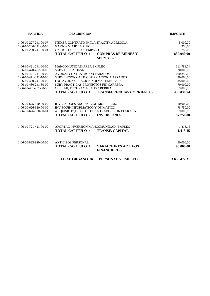| <b>PARTIDA</b>          | <b>DESCRIPCION</b>                                          | <b>IMPORTE</b>         |
|-------------------------|-------------------------------------------------------------|------------------------|
| 1-06-10-227-241-00-07   | NEIKER-CONTRATO IMPLANT.ACTIV.AGRICOLA                      | 5.000,00               |
| $1-06-10-230-241-00-00$ | <b>GASTOS VIAJE EMPLEO</b>                                  | 250,00                 |
| 1-06-10-230-241-00-01   | <b>GASTOS CURSILLOS EMPLEO</b>                              | 750,00                 |
|                         | <b>TOTAL CAPITULO 2</b><br><b>COMPRAS DE BIENES Y</b>       | 830.040,00             |
|                         | <b>SERVICIOS</b>                                            |                        |
| $1-06-10-421-241-00-00$ | MANCOMUNIDAD-AREA EMPLEO                                    | 111.788,74             |
| 1-06-10-470-422-00-00   | SUBV.CEI-SAIOLAN                                            | 20.000,00              |
| 1-06-10-471-241-00-00   | AYUDAS CONTRATACION PARADOS                                 | 160.250,00             |
| $1-06-10-471-241-10-00$ | SUBVENCION GASTOS FORMACION A PARADOS                       | 30.000,00              |
| 1-06-10-480-241-20-00   | FDO.AYUDA CREACION NUEVAS EMPRESAS                          | 35.000,00              |
| 1-06-10-480-241-30-00   | SUBV.PRACTICAS-PROYECTOS FIN CARRERA                        | 70.000,00              |
| 1-06-10-481-231-00-99   | <b>GUREAK: PROGRAMA PAUSO BERRIAK</b>                       | 9.000,00               |
|                         | <b>TOTAL CAPITULO 4</b><br><b>TRANSFERENCIAS CORRIENTES</b> | 436.038,74             |
|                         |                                                             |                        |
| 1-06-00-625-920-00-00   | INVERSIONES ADQUISICION MOBILIARIO                          | 10.000,00              |
| 1-06-00-626-920-00-00   | INV.EQUIP.INFORMATICO Y OFIMATICO                           | 78.750,00              |
| 1-06-00-626-920-00-01   | ADQUISIC.EQUIPO PORTATIL TRADUCCION EUSKARA                 | 9.000,00               |
|                         | <b>TOTAL CAPITULO 6</b><br><b>INVERSIONES</b>               | 97.750,00              |
|                         |                                                             |                        |
| $1-06-10-721-421-00-00$ | APORTAC.INVERSION MANCOMUNIDAD - EMPLEO                     | 1.413,15               |
|                         | <b>TOTAL CAPITULO 7</b><br><b>TRANSF. CAPITAL</b>           | 1.413,15               |
| 1-06-00-833-920-00-00   | <b>ANTICIPOS PERSONAL</b>                                   |                        |
|                         | <b>TOTAL CAPITULO 8</b><br><b>VARIACIONES ACTIVOS</b>       | 90.000,00<br>90.000,00 |
|                         | <b>FINANCIEROS</b>                                          |                        |
|                         | <b>TOTAL ORGANO 06</b><br>PERSONAL Y EMPLEO                 | 3.656.477,31           |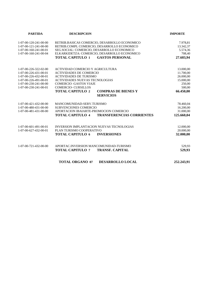| <b>PARTIDA</b>        | <b>DESCRIPCION</b>                                          | <b>IMPORTE</b> |
|-----------------------|-------------------------------------------------------------|----------------|
| 1-07-00-120-241-00-00 | RETRIB.BASICAS COMERCIO, DESARROLLO ECONOMICO               | 7.978,81       |
| 1-07-00-121-241-00-00 | RETRIB.COMPL COMERCIO, DESARROLLO ECONOMICO                 | 13.342,37      |
| 1-07-00-160-241-00-01 | SEG.SOCIAL: COMERCIO, DESARROLLO ECONOMICO                  | 5.574,36       |
| 1-07-00-160-241-00-04 | ELKARKIDETZA: COMERCIO, DESARROLLO ECONOMICO                | 708,40         |
|                       | <b>TOTAL CAPITULO 1</b><br><b>GASTOS PERSONAL</b>           | 27.603,94      |
| 1-07-00-226-322-02-00 | ACTIVIDAD COMERCIO Y AGRICULTURA                            | 13.000,00      |
| 1-07-00-226-431-00-01 | <b>ACTIVIDADES DE COMERCIO</b>                              | 11.700,00      |
| 1-07-00-226-432-00-01 | <b>ACTIVIDADES DE TURISMO</b>                               | 26.000,00      |
| 1-07-00-226-491-00-01 | <b>ACTIVIDADES NUEVAS TECNOLOGIAS</b>                       | 15.000,00      |
| 1-07-00-230-241-00-00 | <b>COMERCIO - GASTOS VIAJE</b>                              | 250,00         |
| 1-07-00-230-241-00-01 | <b>COMERCIO- CURSILLOS</b>                                  | 500,00         |
|                       | <b>TOTAL CAPITULO 2</b><br><b>COMPRAS DE BIENES Y</b>       | 66.450,00      |
|                       | <b>SERVICIOS</b>                                            |                |
| 1-07-00-421-432-00-00 | MANCOMUNIDAD-SERV.TURISMO                                   | 78.460,04      |
| 1-07-00-480-431-00-00 | <b>SUBVENCIONES COMERCIO</b>                                | 16.200,00      |
| 1-07-00-481-431-00-00 | APORTACION IBAIARTE-PROMOCION COMERCIO                      | 31.000,00      |
|                       | <b>TOTAL CAPITULO 4</b><br><b>TRANSFERENCIAS CORRIENTES</b> | 125.660,04     |
| 1-07-00-601-491-00-01 | <b>INVERSION IMPLANTACION NUEVAS TECNOLOGIAS</b>            | 12.000,00      |
| 1-07-00-627-432-00-01 | PLAN TURISMO COOPERATIVO                                    | 20.000,00      |
|                       | <b>TOTAL CAPITULO 6</b><br><b>INVERSIONES</b>               | 32.000,00      |
| 1-07-00-721-432-00-00 | APORTAC.INVERSION MANCOMUNIDAD-TURISMO                      | 529,93         |
|                       | <b>TOTAL CAPITULO 7</b><br><b>TRANSF. CAPITAL</b>           | 529,93         |
|                       | <b>TOTAL ORGANO 07</b><br>DESARROLLO LOCAL                  | 252.243,91     |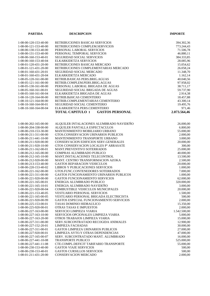| <b>PARTIDA</b>                                 | <b>DESCRIPCION</b>                                                    | <b>IMPORTE</b>       |
|------------------------------------------------|-----------------------------------------------------------------------|----------------------|
|                                                |                                                                       |                      |
| 1-08-00-120-153-40-00                          | RETRIBUCIONES BASICAS SERVICIOS                                       | 394.302,36           |
| 1-08-00-121-153-40-00                          | RETRIBUCIONES COMPLEM.SERVICIOS                                       | 773.244,43           |
| 1-08-00-130-153-40-00                          | PERSONAL LABORAL SERVICIOS                                            | 71.506,78            |
| 1-08-00-131-153-40-00                          | PERSONAL TEMPORAL SERVICIOS                                           | 46.880,11            |
| 1-08-00-160-153-40-01                          | SEGURIDAD SOCIAL SERVICIOS                                            | 384.333,85           |
| 1-08-00-160-153-40-04                          | ELKARKIDETZA SERVICIOS                                                | 28.085,96            |
| 1-08-01-120-431-20-00                          | RETRIBUCIONES BASICAS MERCADO                                         | 15.054,62            |
| 1-08-01-121-431-20-00                          | RETRIBUCIONES COMPLEMENTARIAS MERCADO                                 | 26.058,24            |
| 1-08-01-160-431-20-01                          | SEGURIDAD SOCIAL MERCADO                                              | 11.348,70            |
| 1-08-01-160-431-20-04                          | ELKARKIDETZA MERCADO                                                  | 1.162,14             |
| 1-08-05-120-161-00-00                          | RETRIB.BASICAS PERS.BRIG.AGUAS                                        | 40.040,56            |
| 1-08-05-121-161-00-00                          | RETRIB.COMPLEM.PERS.BRIG.AGUAS                                        | 97.958,02            |
| 1-08-05-130-161-00-00                          | PERSONAL LABORAL BRIGADA DE AGUAS                                     | 38.711,17            |
| 1-08-05-160-161-00-01                          | SEGURIDAD SOCIAL BRIGADA DE AGUAS                                     | 59.737,90            |
| 1-08-05-160-161-00-04                          | ELKARKIDETZA BRIGADA DE AGUAS                                         | 2.914,38             |
| 1-08-10-120-164-00-00                          | RETRIB.BáSICAS CEMENTERIO                                             | 18.457,88            |
| 1-08-10-121-164-00-00                          | RETRIB.COMPLEMENTARIAS CEMENTERIO                                     | 43.300,14            |
| 1-08-10-160-164-00-01                          | SEGURIDAD SOCIAL CEMENTERIO                                           | 19.495,76            |
| 1-08-10-160-164-00-04                          | ELKARKIDETZA PERS.CEMENTERIO                                          | 971,46               |
|                                                | <b>TOTAL CAPITULO 1</b><br><b>GASTOS PERSONAL</b>                     | 2.073.564,46         |
|                                                |                                                                       |                      |
| 1-08-00-202-165-00-00                          | ALQUILER INTALACIONES ALUMBRADO NAVIDEÑO                              | 26.000,00            |
| 1-08-00-204-338-00-00                          | ALQUILER PANTALLA ESPECTACULOS                                        | 6.800,00             |
| 1-08-00-210-153-30-00                          | MANTENIMIENTO MOBILIARIO URBANO                                       | 55.000,00            |
| 1-08-00-211-311-00-00                          | GTOS.CONSERVACION URINARIOS PUBLICOS                                  | 2.000,00             |
| 1-08-00-211-441-10-00                          | MANTENIMIENTO TRANSPORTE URBANO                                       | 3.000,00             |
| 1-08-00-211-920-00-00                          | CONSERVACION EDIFICIOS SERV.GENERALES                                 | 20.000,00            |
| 1-08-00-211-920-10-00                          | GTOS CONSERVACION LOCALES Pº ARRASATE                                 | 300,00               |
| $1-08-00-211-162-00-01$                        | <b>MANT.PREVENTIVO SOTERRADOS</b>                                     | 25.000,00            |
| 1-08-00-212-165-00-00                          | COMPRAS ALUMBRADO PUBLICO                                             | 40.000,00            |
| 1-08-00-212-165-10-00                          | MANT.INSTALACIONES TELECONTROL                                        | 13.500,00            |
| 1-08-00-212-920-00-00                          | MANT. CENTRO TRANSFORMACION AZOKA                                     | 2.500,00             |
| 1-08-00-213-153-40-00                          | <b>GASTOS REPARACION VEHICULOS</b>                                    | 20.000,00            |
| 1-08-00-220-153-40-02<br>1-08-00-221-162-00-00 | LIBROS Y PUBLICACIONES SERVICIOS<br>GTOS.FUNC.CONTENEDORES SOTERRADOS | 1.000,00<br>7.000,00 |
| 1-08-00-221-311-00-00                          | <b>GASTOS FUNCIONAMIENTO URINARIOS PUBLICOS</b>                       | 1.000.00             |
| 1-08-00-221-920-00-00                          | <b>GASTOS FUNCIONAMIENTO SERVICIOS</b>                                | 62.000,00            |
| 1-08-00-221-165-00-01                          | ENERGIA ALUMBRADO PUBLICO                                             | 320.000,00           |
| $1-08-00-221-165-10-01$                        | ENERGIA ALUMBRADO NAVIDEÑO                                            | 3.000,00             |
| 1-08-00-221-920-00-04                          | <b>COMBUSTIBLE VEHICULOS MUNICIPALES</b>                              | 20.000,00            |
| 1-08-00-221-153-40-05                          | <b>VESTUARIO PERSONAL SERVICIOS</b>                                   | 1.500,00             |
| 1-08-00-221-165-00-05                          | VESTUARIO PERSONAL BRIGADA ELECTRICISTA                               | 500,00               |
| 1-08-00-221-920-00-99                          | GASTOS ESPECIAL FUNCIONAMIENTO SERVICIOS                              | 2.000,00             |
| 1-08-00-225-153-00-01                          | <b>TASAS DOMINIO HIDRAULICO</b>                                       | 15.350,00            |
| 1-08-00-225-920-00-01                          | OTRAS TASAS E IMPUESTOS                                               | 2.000,00             |
| 1-08-00-227-163-00-00                          | SERVICIO LIMPIEZA VIARIA                                              | 1.542.500,00         |
| $1-08-00-227-163-10-00$                        | SERVICIOS OPCIONALES LIMPIEZA VIARIA                                  | 5.000,00             |
| 1-08-00-227-163-20-00                          | OTROS TRABAJOS LIMPIEZA VIARIA                                        | 15.000,00            |
| 1-08-00-227-311-00-00                          | SERV.SUBCONTRATADO RECOGIDA ANIMALES                                  | 12.900,00            |
| 1-08-00-227-152-20-01                          | LIMPIEZA FACHADAS                                                     | 30.000,00            |
| 1-08-00-227-311-00-01                          | <b>GASTOS LIMPIEZA URINARIOS PUBLICOS</b>                             | 27.000,00            |
| 1-08-00-227-920-00-01                          | LIMPIEZA AYTO.Y OTRAS DEPENDENCIAS                                    | 47.000,00            |
| 1-08-00-227-165-00-07                          | SERV. SUBCONTRATADO MANT. ALUMBRADO                                   | 16.000,00            |
| 1-08-00-227-441-10-08                          | <b>TRANSPORTE PUBLICO</b>                                             | 525.000,00           |
| 1-08-00-227-441-11-08                          | CTE.COMPL.DEFICIT TARIFARIO TRANSPORTE                                | 55.000,00            |
| 1-08-00-230-153-40-00                          | <b>GASTOS VIAJE SERVICIOS</b>                                         | 500,00               |
| 1-08-00-230-153-40-01<br>1-08-01-211-431-20-00 | <b>GASTOS CURSILLOS SERVICIOS</b><br><b>CONSERVACION MERCADO</b>      | 500,00<br>2.000,00   |
|                                                |                                                                       |                      |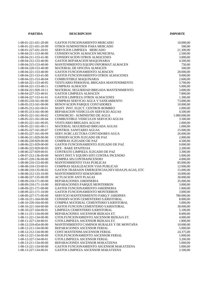| <b>PARTIDA</b>                                 | <b>DESCRIPCION</b>                                                | <b>IMPORTE</b>         |
|------------------------------------------------|-------------------------------------------------------------------|------------------------|
|                                                |                                                                   |                        |
| 1-08-01-221-431-20-00                          | GASTOS FUNCIONAMIENTO MERCADO                                     | 10.000,00              |
| 1-08-01-221-431-20-99                          | OTROS SUMINISTROS PARA MERCADO                                    | 500,00                 |
| 1-08-01-227-431-20-01                          | SERVICIOS LIMPIEZA MERCADO                                        | 21.300,00              |
| 1-08-04-211-153-40-00                          | CONSERVACION ALMACEN MUNICIPAL                                    | 2.500,00               |
| $1-08-04-211-153-41-00$                        | <b>CONSERVACION OTROS ALMACENES</b>                               | 3.000,00               |
| 1-08-04-212-153-40-00                          | GASTOS REPARACION MAQUINARIA                                      | 4.500,00               |
| 1-08-04-215-153-40-00                          | MANTENIMIENTO EQUIPO INFORMAT. ALMACEN                            | 750,00                 |
| 1-08-04-220-153-40-00                          | MATERIAL DE OFICINA ALMACEN                                       | 500,00                 |
| 1-08-04-221-153-40-00                          | <b>GASTOS FUNCIONAMIENTO ALMACEN</b>                              | 20.000,00              |
| 1-08-04-221-153-41-00                          | GASTOS FUNCIONAMIENTO OTROS ALMACENES                             | 9.000,00               |
| 1-08-04-221-153-40-04                          | <b>COMBUSTIBLE MAQUINARIA</b>                                     | 2.600,00               |
| 1-08-04-221-153-40-05                          | VESTUARIO PERSONAL BRIGADA MANTENIMIENTO                          | 3.700,00               |
| 1-08-04-221-153-40-11                          | <b>COMPRAS ALMACEN</b>                                            | 5.000,00               |
| 1-08-04-221-920-10-11                          | MATERIAL SEGURIDAD BRIGADA MANTENIMIENTO                          | 3.000,00               |
| 1-08-04-227-153-40-01                          | <b>GASTOS LIMPIEZA ALMACEN</b>                                    | 7.800,00               |
| 1-08-04-227-153-41-01                          | <b>GASTOS LIMPIEZA OTROS ALMACENES</b>                            | 1.300,00               |
| 1-08-05-210-161-00-00                          | COMPRAS SERVICIO AGUA Y SANEAMIENTO                               | 73.000,00              |
| 1-08-05-212-161-00-00                          | RENOVACION PARQUE CONTADORES                                      | 10.000,00              |
| 1-08-05-212-161-00-01                          | MANT. INST. ELECT. CENTROS BOMBEO                                 | 2.000,00               |
| 1-08-05-213-161-00-00                          | REPARACION VEHICULOS SERVICIO AGUAS                               | 4.500,00               |
| 1-08-05-221-161-00-02                          | CONSORCIO - SUMINISTRO DE AGUA                                    | 1.000.000,00           |
| 1-08-05-221-161-00-04                          | <b>COMBUSTIBLE VEHICULOS SERVICIO AGUAS</b>                       | 3.500,00               |
| $1-08-05-221-161-00-05$                        | <b>VESTUARIO BRIGADA AGUAS</b>                                    | 2.000,00               |
| 1-08-05-221-161-00-11                          | MATERIAL SEGURIDAD BRIGADA AGUAS                                  | 1.000,00               |
| 1-08-05-227-161-00-07                          | CONTROL SANITARIO AGUAS                                           | 15.000,00              |
| 1-08-05-227-161-00-99                          | SERV.SUBC.LECTURA CONTADORES AGUA                                 | 26.000,00              |
| 1-08-06-211-929-00-00                          | CONSERVACION JUZGADO DE PAZ                                       | 2.000,00               |
| 1-08-06-220-929-00-00                          | COMPRAS JUZGADO DE PAZ                                            | 4.500,00               |
| 1-08-06-221-929-00-00                          | GASTOS FUNCIONAMIENTO JUZGADO DE PAZ                              | 9.000,00               |
| 1-08-06-222-929-00-05                          | IZFE - BAKE EPAITEGIA                                             | 2.200,00               |
| 1-08-06-227-929-00-01                          | CONTRATO LIMPIEZA JUZGADO DE PAZ                                  | 3.300,00               |
| 1-08-07-212-136-00-00                          | MANT.INST.Y EQUIPO SIST.CONTRA INCENDIO                           | 5.000,00               |
| 1-08-07-220-136-00-00                          | COMPRA SIS.CONTRAINCENDIO                                         | 4.000,00               |
| 1-08-08-210-153-00-00                          | <b>MANTENIMIENTO VIAS PUBLICAS</b>                                | 85.000,00              |
| 1-08-08-210-133-00-01                          | COMPRAS SEñALIZACION VIAS PUBLICAS                                | 12.000,00              |
| 1-08-08-210-135-00-02                          | GASTOS TRABAJOS EMERGENCIAS, NEVADAS, PLAGAS, ETC                 | 15.000,00              |
| 1-08-08-212-133-10-00                          | <b>MANTENIMIENTO SEMAFOROS</b>                                    | 10.000,00              |
| 1-08-08-227-135-00-99                          | <b>ACTUACION ANTI PLAGAS</b>                                      | 30.000,00              |
| 1-08-09-210-171-00-00<br>1-08-09-210-171-10-00 | REPARACIONES JARDINERIA                                           | 35.000,00              |
| 1-08-09-221-171-00-00                          | REPARACIONES PARQUE MONTERRON<br>GASTOS FUNCIONAMIENTO JARDINERIA | 3.000,00               |
| $1-08-09-221-171-10-00$                        | <b>GASTOS FUNCIONAMIENTO MONTERRON</b>                            | 1.000,00               |
| 1-08-09-227-171-00-00                          | SERVICIO MANTENIMIENTO PARQ.Y JARDINES                            | 3.000,00<br>780.000,00 |
| $1-08-10-211-164-00-00$                        | CONSERVACION CEMENTERIO S.KRISTOBAL                               | 8.000,00               |
| 1-08-10-220-164-00-00                          | COMPRA MATERIAL CEMENTERIO S.KRISTOBAL                            | 5.000,00               |
| 1-08-10-221-164-00-00                          | GASTOS FUNCION.CEMENTERIO S.KRISTOBAL                             | 38.000,00              |
| 1-08-10-227-164-00-01                          | LIMPIEZA CEMENTERIO S.KRISTOBAL                                   | 5.100,00               |
| 1-08-11-211-134-00-00                          | REPARACIONES ASCENSOR BIZKAIA ET.                                 | 8.000,00               |
| 1-08-11-221-134-00-00                          | GTOS.FUNCIONAMIENTO ASCENSOR BIZKAIA ET.                          | 4.000,00               |
| 1-08-11-227-134-00-01                          | GTOS.LIMPIEZA ASCENSOR BIZKAIA ET.                                |                        |
| 1-08-12-210-454-00-00                          | MANTENIMIENTO CAMINOS RURALES Y DE MONTAÑA                        | 1.800,00<br>10.000,00  |
| 1-08-12-211-134-00-00                          | REPARACIONES ASCENSOR FERIAL                                      | 5.000,00               |
| 1-08-12-212-134-00-00                          | CONT.MANTENIM.ASCENSOR FERIAL                                     | 24.375,00              |
| 1-08-12-221-134-00-00                          | GTOS.FUNCIONAMIENTO ASCENSOR FERIAL                               | 5.000,00               |
| 1-08-12-227-134-00-01                          | GTOS.LIMPIEZA ASCENSOR FERIAL                                     | 3.200,00               |
| 1-08-13-211-134-00-00                          | REPARACIONES ASCENSOR MAKATZENA                                   | 5.000,00               |
| 1-08-13-221-134-00-00                          | GASTOS FUNCIONAMIENTO ASCENSOR MAKATZENA                          | 5.000,00               |
| 1-08-13-227-134-00-01                          | GASTOS LIMPIEZA ASCENSOR MAKATZENA                                | 2.500,00               |
|                                                |                                                                   |                        |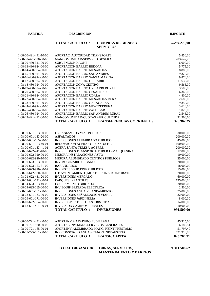**PARTIDA DESCRIPCION IMPORTE**

#### **TOTAL CAPITULO 2 COMPRAS DE BIENES Y 5.294.275,00 SERVICIOS**

| 1-08-00-421-441-10-00   | APORTAC. AUTORIDAD TRANSPORTE                               | 5.850,00   |
|-------------------------|-------------------------------------------------------------|------------|
| 1-08-00-421-920-00-00   | MANCOMUNIDAD-SERVICIO GENERAL                               | 203.642,25 |
| 1-08-00-480-311-00-00   | <b>SUBVENCION KAONBI</b>                                    | 6.000,00   |
| 1-08-13-480-924-00-00   | APORTACION BARRIO BEDOñA                                    | 5.775,00   |
| 1-08-14-480-924-00-00   | APORTACION BARRIO MUSAKOLA                                  | 8.880,00   |
| 1-08-15-480-924-00-00   | APORTACION BARRIO SAN ANDRES                                | 9.870,00   |
| 1-08-16-480-924-00-00   | APORTACION BARRIO SANTA MARINA                              | 9.870,00   |
| 1-08-17-480-924-00-00   | APORTACION BARRIO URIBARRI                                  | 11.630,00  |
| 1-08-18-480-924-00-00   | APORTACION ZONA CENTRO                                      | 9.565,00   |
| 1-08-19-480-924-00-00   | APORTACION BARRIO URIBARRI RURAL                            | 3.500,00   |
| 1-08-20-480-924-00-00   | APORTACION BARRIO GESALIBAR                                 | 6.360,00   |
| 1-08-21-480-924-00-00   | APORTACION BARRIO UDALA                                     | 4.800,00   |
| 1-08-22-480-924-00-00   | APORTACION BARRIO MUSAKOLA RURAL                            | 2.680,00   |
| 1-08-23-480-924-00-00   | APORTACION BARRIO GARAGARZA                                 | 9.850,00   |
| 1-08-24-480-924-00-00   | APORTACION BARRIO MEATZERREKA                               | 3.620,00   |
| 1-08-25-480-924-00-00   | APORTACION BARRIO ZALDIBAR                                  |            |
|                         | APORTACION BARRIO SAN ANDRES RURAL                          | 1.025,00   |
| 1-08-26-480-924-00-00   |                                                             | 2.545,00   |
| 1-08-27-421-412-00-00   | MANCOMUNIDAD-CUOTAS AGRICULTURA                             | 21.500,00  |
|                         | <b>TOTAL CAPITULO 4</b><br><b>TRANSFERENCIAS CORRIENTES</b> | 326.962,25 |
| 1-08-00-601-153-00-00   | URBANIZACION VIAS PUBLICAS                                  | 30.000,00  |
| 1-08-00-601-153-20-00   | <b>ASFALTADOS</b>                                           | 200.000,00 |
| 1-08-00-601-165-00-00   | <b>INVERSIONES ALUMBRADO PUBLICO</b>                        | 45.000,00  |
| 1-08-00-601-153-40-01   | RENOVACION ACERAS GIPUZKOA ET.                              | 100.000,00 |
| 1-08-00-601-153-41-01   | <b>ACERA SANTA TERESA-AGERRE</b>                            | 200.000,00 |
| 1-08-00-622-441-10-00   | INVERSIONES TRANSPORTE PUBLICO-MARQUESINAS                  | 12.000,00  |
| 1-08-00-622-920-00-00   | MEJORA INSTALACIONES AYTO                                   | 10.000,00  |
| 1-08-00-622-920-10-00   | MEJORA ALUMBRADO CENTROS PUBLICOS                           | 25.000,00  |
| 1-08-00-623-153-30-00   | INV.MOBILIARIO URBANO                                       | 20.000,00  |
| 1-08-00-623-153-31-00   | <b>BARANDADOS</b>                                           | 18.000,00  |
| 1-08-00-623-920-00-02   | INV.SIST.SEGUR.EDIF.PUBLICOS                                | 15.000,00  |
| 1-08-00-642-920-00-00   | ITE AYUNTAMIENTO, MONTERRON Y KULTURATE                     | 20.000,00  |
| 1-08-01-622-431-20-00   | <b>INVERSIONES MERCADO</b>                                  | 60.000,00  |
| $1-08-02-601-171-00-01$ | PARQUES INFANTILES                                          | 125.000,00 |
| 1-08-04-623-153-40-00   | EQUIPAMIENTO BRIGADA                                        | 20.000,00  |
| 1-08-04-623-165-00-00   | INV.EQUIP.BRIGADA ELECTRICA                                 | 2.500,00   |
| 1-08-05-601-161-00-00   | INVERSIONES AGUA Y SANEAMIENTO                              | 25.000,00  |
| 1-08-08-601-133-00-00   | INVERSIONES SEÑALIZACION VIARIA                             |            |
| $1-08-09-601-171-00-00$ | <b>INVERSIONES JARDINERIA</b>                               | 32.000,00  |
|                         | <b>INVER.CEMENTERIO SAN CRISTOBAL</b>                       | 8.000,00   |
| 1-08-10-622-164-00-00   |                                                             | 14.000,00  |
| $1-08-12-601-454-00-01$ | <b>INVERSION CAMINOS RURALES</b>                            | 10.000,00  |
|                         | <b>INVERSIONES</b><br><b>TOTAL CAPITULO 6</b>               | 991.500,00 |
| 1-08-00-721-431-40-00   | APORT.INV.MATADERO ZUBILLAGA                                | 45.315,00  |
| 1-08-00-721-920-00-00   | APORTAC.INV.MANC.SERVICIOS GENERALES                        | 6.182,51   |
| 1-08-00-721-165-00-01   | APORT.INV.ALUMBRADO MANC.-REINT.PRESTAMO                    | 51.797,40  |
|                         |                                                             |            |
| 1-08-05-725-161-00-00   | INV.CONSORCIO AGUAS-CANON INFRAESTRUC.                      | 521.910,00 |

#### **TOTAL ORGANO 08 OBRAS, SERVICIOS, 9.311.506,62 MANTENIMIENTO Y BARRIOS**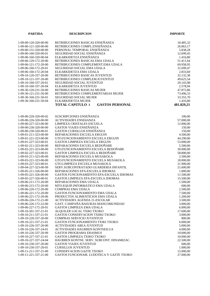| <b>PARTIDA</b>                                 | <b>DESCRIPCION</b>                                                   | <b>IMPORTE</b>         |
|------------------------------------------------|----------------------------------------------------------------------|------------------------|
|                                                |                                                                      |                        |
| 1-09-00-120-320-00-00                          | RETRIBUCIONES BASICAS ENSEÑANZA                                      | 18.485,32              |
| 1-09-00-121-320-00-00                          | RETRIBUCIONES COMPL.ENSEÑANZA                                        | 26.863,17              |
| 1-09-00-131-320-00-00                          | PERSONAL TEMPORAL ENSEÑANZA                                          | 5.838,28               |
| 1-09-00-160-320-00-01                          | SEGURIDAD SOCIAL ENSEÑANZA                                           | 12.699,45              |
| 1-09-00-160-320-00-04                          | ELKARKIDETZA ENSEÑANZA                                               | 1.416,80               |
| 1-09-06-120-172-20-00                          | RETRIBUCIONES BASICAS EMA UDALA                                      | 51.411,64              |
| 1-09-06-121-172-20-00                          | RETRIBUCIONES COMPLEMENT.EMA UDALA                                   | 69.958,95              |
| 1-09-06-160-172-20-01                          | SEGURIDAD SOCIAL EMA UDALA                                           | 31.699,47              |
| 1-09-06-160-172-20-04                          | ELKARKIDETZA EMA UDALA                                               | 2.833,60               |
| 1-09-10-120-337-20-00                          | RETRIBUCIONES BASICAS JUVENTUD                                       | 32.132,38              |
| 1-09-10-121-337-20-00                          | RETRIBUCIONES COMPLEM.JUVENTUD                                       | 49.625,54              |
| 1-09-10-160-337-20-01                          | SEGURIDAD SOCIAL JUVENTUD                                            | 20.143,98              |
| 1-09-10-160-337-20-04                          | ELKARKIDETZA JUVENTUD                                                | 2.578,94               |
| 1-09-30-120-231-50-00                          | RETRIBUCIONES BASICAS MUJER                                          | 47.872,86              |
| 1-09-30-121-231-50-00                          | RETRIBUCIONES COMPLEMENTARIAS MUJER                                  | 73.496,33              |
| 1-09-30-160-231-50-01                          | SEGURIDAD SOCIAL MUJER                                               | 33.355,70              |
| 1-09-30-160-231-50-04                          | ELKARKIDETZA MUJER                                                   | 1.416,80               |
|                                                | <b>GASTOS PERSONAL</b><br><b>TOTAL CAPITULO 1</b>                    | 481.829,21             |
|                                                |                                                                      |                        |
| 1-09-00-220-320-00-02                          | SUSCRIPCIONES ENSEÑANZA                                              | 100,00                 |
| 1-09-00-226-320-00-00                          | <b>ACTIVIDADES ENSEñANZA</b>                                         | 57.000,00              |
| 1-09-00-227-323-00-00                          | LIMPIEZA CRISTALES ESCUELA                                           | 12.000,00              |
| 1-09-00-230-320-00-00                          | <b>GASTOS VIAJES ENSEÑANZA</b>                                       | 150,00                 |
| 1-09-00-230-320-00-01                          | <b>GASTOS CURSILLOS ENSEÑANZA</b>                                    | 150,00                 |
| 1-09-01-211-323-00-00                          | REPARACIONES ESCUELA ERGUIN                                          | 4.500,00               |
| 1-09-01-221-323-00-00                          | GTO.FUNCIONAMIENTO ESCUELA ERGUIN                                    | 44.290,00              |
| 1-09-01-227-323-00-01                          | GASTOS LIMPIEZA ESCUELA ERGUIN                                       | 53.000,00              |
| 1-09-02-211-323-00-00                          | REPARACIONES ESCUELA BEDOÑABE                                        | 5.500,00               |
| 1-09-02-221-323-00-00                          | GTO.FUNCIONAMIENTO ESCUELA BEDOÑABE                                  | 30.000,00              |
| 1-09-02-227-323-00-01                          | GASTOS LIMPIEZA ESCUELA BEDOÑABE                                     | 58.800,00              |
| 1-09-03-211-323-00-00                          | REPARACIONES ESCUELA MUSAKOLA                                        | 2.500,00               |
| 1-09-03-221-323-00-00<br>1-09-03-227-323-00-01 | GTO.FUNCIONAMIENTO ESCUELA MUSAKOLA<br>GTO.LIMPIEZA ESCUELA MUSAKOLA | 18.000,00              |
| 1-09-04-227-323-00-99                          | SERV.SUBCONTRATADO GUARDERIA INFANTIL                                | 21.900,00<br>21.600,00 |
| 1-09-05-211-326-00-00                          | REPARACIONES EPA-ESCUELA IDIOMAS                                     | 1.000,00               |
| 1-09-05-221-326-00-00                          | GASTOS FUNCIONAMIENTO EPA-ESCUELA IDIOMAS                            | 11.500,00              |
| 1-09-05-227-326-00-01                          | GASTOS LIMPIEZA EPA-ESCUELA IDIOMAS                                  | 15.500,00              |
| 1-09-06-211-172-20-00                          | REPARACIONES EMA UDALA                                               | 1.500,00               |
| 1-09-06-215-172-20-00                          | MTO.EQUIP.INFORMATICO EMA UDALA                                      | 600,00                 |
| 1-09-06-220-172-20-00                          | <b>COMPRAS EMA UDALA</b>                                             | 2.500,00               |
| 1-09-06-221-172-20-00                          | GASTOS FUNCIONAMIENTO EMA UDALA                                      | 7.500,00               |
| 1-09-06-221-172-20-06                          | PRODUCTOS ALIMENTICIOS EMA UDALA                                     | 1.200,00               |
| 1-09-06-226-172-21-00                          | <b>ACTIVIDADES AGENDA 21-ESCOLAR</b>                                 | 3.500,00               |
| 1-09-06-226-172-22-00                          | GAST. CAMPAÑA BASURAS-MANCOMUNIDAD                                   | 3.000,00               |
| 1-09-06-227-172-20-01                          | <b>GASTOS LIMPIEZA EMA UDALA</b>                                     | 6.000,00               |
| 1-09-10-201-337-21-01                          | ALQUILER LOCAL TXIKI TXOKO                                           | 17.600,00              |
| 1-09-10-211-337-21-01                          | GASTOS CONSERVACION TXIIKI TXOKO                                     | 3.000,00               |
| 1-09-10-220-337-20-00                          | COMPRAS SERVICIO JUVENTUD                                            | 800,00                 |
| 1-09-10-221-337-21-01                          | <b>GASTOS FUNCIONAMIENTO TXIKI TXOKO</b>                             | 6.000,00               |
| 1-09-10-226-337-20-00                          | <b>ACTIVIDADES AREA JUVENTUD</b>                                     | 5.000,00               |
| 1-09-10-226-337-24-01                          | ACTIVIDADES HAURREN KONTSEILUA                                       | 4.000,00               |
| 1-09-10-226-337-20-99                          | <b>GASTOS PROGRAMA ERASMUS</b>                                       | 10.000,00              |
| 1-09-10-227-337-21-01                          | GASTOS LIMPIEZA TXIKO TXOKO                                          | 10.000,00              |
| 1-09-10-227-337-24-04                          | HAURREN KONTSE, SERV. SUBCONT. DINAMIZAC.                            | 22.500,00              |
| 1-09-10-230-337-20-00                          | <b>GASTOS VIAJES JUVENTUD</b>                                        | 600,00                 |
| 1-09-10-230-337-20-01<br>1-09-11-211-337-21-00 | <b>CURSILLOS JUVENTUD</b><br>CONSERVACION GAZTE TXOKO                | 1.000,00               |
| 1-09-11-221-337-21-00                          | GASTOS FUNCIONAM. LUDOTECA Y GAZTE TXOKO                             | 15.000,00<br>27.000,00 |
|                                                |                                                                      |                        |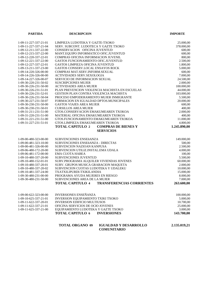| <b>PARTIDA</b>        | <b>DESCRIPCION</b>                                          | <b>IMPORTE</b> |
|-----------------------|-------------------------------------------------------------|----------------|
|                       |                                                             |                |
| 1-09-11-227-337-21-01 | LIMPIEZA LUDOTEKA Y GAZTE-TXOKO                             | 25.000,00      |
| 1-09-11-227-337-21-04 | SERV. SUBCONT. LUDOTECA Y GAZTE TXOKO                       | 378.000,00     |
| 1-09-12-211-337-22-00 | CONSERVACION OFICINA JUVENTUD                               | 600,00         |
| 1-09-12-215-337-22-00 | MANT.EQUIPO INFORMATICO OFIC.JUVENTUD                       | 600,00         |
| 1-09-12-220-337-22-01 | COMPRAS OFICINA INFORMACION JUVENIL                         | 800,00         |
| 1-09-12-221-337-22-00 | GASTOS FUNCIONAMIENTO OFIC.JUVENTUD                         | 2.500,00       |
| 1-09-12-227-337-22-01 | <b>GASTOS LIMPIEZA OFICINA JUVENTUD</b>                     | 1.800,00       |
| 1-09-13-211-337-23-00 | GASTOS CONSERV.LOCAL ENSAYOS ROCK                           | 5.000,00       |
| 1-09-14-220-326-00-00 | COMPRAS MAT.SERV.INFORM.SEXUAL                              | 600,00         |
| 1-09-14-226-326-00-00 | ACTIVIDADES SERV.SEXOLOGIA                                  | 7.000,00       |
| 1-09-14-227-326-00-07 | SERVICIO DE INFORMACION SEXUAL                              | 24.500,00      |
| 1-09-30-220-231-50-02 | <b>SUSCRIPCIONES MUJER</b>                                  | 2.000,00       |
| 1-09-30-226-231-50-00 | <b>ACTIVIDADES AREA MUJER</b>                               | 100.000,00     |
| 1-09-30-226-231-51-01 | PLAN PREVENCION VIOLENCIA MACHISTA EN ESCUELAS              | 44.000,00      |
| 1-09-30-226-231-52-01 | GESTION PLAN CONTRA VIOLENCIA MACHISTA                      | 103.000,00     |
| 1-09-30-226-231-50-04 | PROCESO EMPODERAMIENTO MUJER INMIGRANTE                     | 5.500,00       |
| 1-09-30-227-231-50-07 | FORMACION EN IGUALDAD DPTOS.MUNICIPALES                     | 20.000,00      |
| 1-09-30-230-231-50-00 | <b>GASTOS VIAJES AREA MUJER</b>                             | 600,00         |
| 1-09-30-230-231-50-01 | <b>CURSILLOS AREA MUJER</b>                                 | 400,00         |
| 1-09-31-211-231-51-00 | GTOS.CONSERVACION EMAKUMEAREN TXOKOA                        | 2.000,00       |
| 1-09-31-220-231-51-00 | MATERIAL OFICINA EMAKUMEAREN TXOKOA                         | 400,00         |
| 1-09-31-221-231-51-00 | GTOS.FUNCIONAMIENTO EMAKUMEAREN TXOKOA                      | 11.000,00      |
| 1-09-31-227-231-51-01 | GTOS.LIMPIEZA EMAKUMEAREN TXOKOA                            | 4.800,00       |
|                       | <b>COMPRAS DE BIENES Y</b><br><b>TOTAL CAPITULO 2</b>       | 1.245.890,00   |
|                       | <b>SERVICIOS</b>                                            |                |
|                       |                                                             |                |
| 1-09-00-480-323-00-00 | SUBVENCIONES ENSEñANZA                                      | 149.000,00     |
| 1-09-00-481-323-10-00 | SUBVENCIONES ENSEñANZA - DIRECTAS                           | 500,00         |
| 1-09-00-481-326-00-00 | SUBVENCION NAZIOAN KANPUSA                                  | 2.500,00       |
| 1-09-06-480-172-20-00 | SUBVENCION UTILIZ.INSTAL.EMA UDALA                          | 4.000,00       |
| 1-09-06-481-172-00-00 | <b>EMA CUOTA HABEA</b>                                      | 100,00         |
| 1-09-10-480-337-20-00 | SUBVENCIONES JUVENTUD                                       | 5.500,00       |
| 1-09-10-480-152-01-01 | SUBV.PROGRAMA ALQUILER VIVIENDAS JOVENES                    | 60.000,00      |
| 1-09-10-480-337-20-01 | SUBV. GRUPOS MUSICA GRABACION MAQUETA                       | 2.000,00       |
| 1-09-10-480-337-20-02 | SUBVENCION CUOTAS LUDOTEKA Y UDALEKU                        | 10.000,00      |
| 1-09-10-481-337-24-00 | TXATXILIPURDI-TXIKILANDIA                                   | 15.000,00      |
| 1-09-30-480-231-00-00 | PROGRAMA AYUDA MUJERES EN RIESGO                            | 8.000,00       |
| 1-09-30-480-231-50-00 | SUBVENCIONES AREA DE LA MUJER                               | 7.000,00       |
|                       | <b>TOTAL CAPITULO 4</b><br><b>TRANSFERENCIAS CORRIENTES</b> | 263.600,00     |
|                       |                                                             |                |
|                       |                                                             |                |
| 1-09-00-622-323-00-00 | <b>INVERSIONES ENSEÑANZA</b>                                | 100.000,00     |
| 1-09-10-625-337-21-01 | INVERSION EQUIPAMIENTO TXIKI TXOKO                          | 5.000,00       |
| 1-09-11-622-337-20-01 | <b>INVERSION EDIFICIO MULTIUSOS</b>                         | 10.700,00      |
| 1-09-11-622-337-21-01 | OFICINA SERVICIOS DE OCIO JOVENES                           | 25.000,00      |
| 1-09-11-625-337-21-00 | EQUIPAMIENTO LUDOTEKA Y GAZTE TXOKO                         | 3.000,00       |
|                       | <b>TOTAL CAPITULO 6</b><br><b>INVERSIONES</b>               | 143.700,00     |
|                       |                                                             |                |
|                       |                                                             |                |

| <b>TOTAL ORGANO 09</b> | <b>IGUALDAD Y DESARROLLO</b> | 2.135.019,21 |
|------------------------|------------------------------|--------------|
|                        | <b>COMUNITARIO</b>           |              |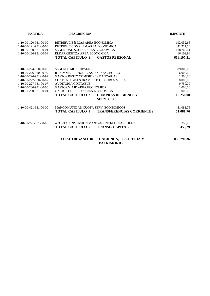| <b>PARTIDA</b>          | <b>DESCRIPCION</b>                                                   | <b>IMPORTE</b> |
|-------------------------|----------------------------------------------------------------------|----------------|
| 1-10-00-120-931-00-00   | RETRIBUC BÁSICAS AREA ECONOMICA                                      | 192.032,66     |
| 1-10-00-121-931-00-00   | RETRIBUC.COMPLEM.AREA ECONOMICA                                      | 341.217,10     |
| 1-10-00-160-931-00-01   | SEGURIDAD SOCIAL AREA ECONOMICA                                      | 118.745,61     |
| 1-10-00-160-931-00-04   | ELKARKIDETZA AREA ECONOMICA                                          | 16.109,94      |
|                         | <b>TOTAL CAPITULO 1</b><br><b>GASTOS PERSONAL</b>                    | 668.105,31     |
| 1-10-00-224-920-00-00   | <b>SEGUROS MUNICIPALES</b>                                           | 89.000,00      |
| $1-10-00-226-920-00-99$ | INDEMNIZ.FRANQUICIAS POLIZAS SEGURO                                  | 6.000,00       |
| 1-10-00-226-931-00-99   | GASTOS RESTO COMISIONES BANCARIAS                                    | 1.500,00       |
| 1-10-00-227-920-00-07   | CONTRATO ASESORAMIENTO SEGUROS MPLES.                                | 8.000,00       |
| 1-10-00-227-931-00-07   | <b>AUDITORIA CONTABLE</b>                                            | 9.750,00       |
| $1-10-00-230-931-00-00$ | <b>GASTOS VIAJE AREA ECONOMICA</b>                                   | 1.000,00       |
| $1-10-00-230-931-00-01$ | <b>GASTOS CURSILLO AREA ECONOMICA</b>                                | 1.000,00       |
|                         | <b>TOTAL CAPITULO 2</b><br><b>COMPRAS DE BIENES Y</b>                | 116.250,00     |
|                         | <b>SERVICIOS</b>                                                     |                |
| $1-10-00-421-931-00-00$ | MANCOMUNIDAD CUOTA SERV. ECONOMICOS                                  | 51.081,76      |
|                         | <b>TOTAL CAPITULO 4</b><br><b>TRANSFERENCIAS CORRIENTES</b>          | 51.081,76      |
| $1-10-00-721-931-00-00$ | APORTAC. INVERSION MANC-AGENCIA DESARROLLO                           | 353,29         |
|                         | <b>TOTAL CAPITULO 7</b><br><b>TRANSF. CAPITAL</b>                    | 353,29         |
|                         | <b>TOTAL ORGANO 10</b><br>HACIENDA, TESORERIA Y<br><b>PATRIMONIO</b> | 835.790,36     |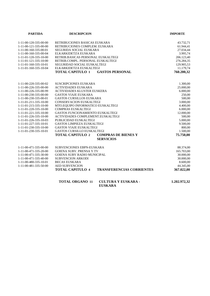| <b>PARTIDA</b>                      | <b>DESCRIPCION</b>                                          | <b>IMPORTE</b> |
|-------------------------------------|-------------------------------------------------------------|----------------|
| $1 - 11 - 00 - 120 - 335 - 00 - 00$ | RETRIBUCIONES BASICAS EUSKARA                               | 43.732,71      |
| 1-11-00-121-335-00-00               | RETRIBUCIONES COMPLEM. EUSKARA                              | 61.944,41      |
| 1-11-00-160-335-00-01               | SEGURIDA SOCIAL EUSKARA                                     | 27.034,44      |
| 1-11-00-160-335-00-04               | ELKARKIDETZA EUSKARA                                        | 3.995,74       |
| 1-11-01-120-335-10-00               | RETRIB.BASICAS PERSONAL EUSKALTEGI                          | 206.123,40     |
| $1-11-01-121-335-10-00$             | RETRIB.COMPL. PERSONAL EUSKALTEGI                           | 276.284,35     |
| 1-11-01-160-335-10-01               | SEGURIDAD SOCIAL EUSKALTEGI                                 | 129.905,53     |
| 1-11-01-160-335-10-04               | ELKARKIDETZA EUSKALTEGI                                     | 11.179,74      |
|                                     | <b>TOTAL CAPITULO 1</b><br><b>GASTOS PERSONAL</b>           | 760.200,32     |
|                                     |                                                             |                |
| 1-11-00-220-335-00-02               | <b>SUSCRIPCIONES EUSKARA</b>                                | 1.300,00       |
| 1-11-00-226-335-00-00               | <b>ACTIVIDADES EUSKARA</b>                                  | 25.000,00      |
| 1-11-00-226-335-00-99               | <b>ACTIVIDADES KLUSTER EUSKERA</b>                          | 6.000,00       |
| 1-11-00-230-335-00-00               | <b>GASTOS VIAJE EUSKARA</b>                                 | 250,00         |
| 1-11-00-230-335-00-01               | <b>GASTOS CURSILLOS EUSKARA</b>                             | 500,00         |
| 1-11-01-211-335-10-00               | CONSERVACION EUSKALTEGI                                     | 3.000,00       |
| 1-11-01-215-335-10-00               | MTO.EQUIPO INFORMATICO EUSKALTEGI                           | 4.400,00       |
| $1-11-01-220-335-10-00$             | <b>COMPRAS EUSKALTEGI</b>                                   | 6.000,00       |
| 1-11-01-221-335-10-00               | <b>GASTOS FUNCIONAMIENTO EUSKALTEGI</b>                     | 12.000,00      |
| 1-11-01-226-335-10-00               | ACTIVIDADES COMPLEMENT.EUSKALTEGI                           | 500,00         |
| 1-11-01-226-335-10-03               | PUBLICIDAD EUSKALTEGI                                       | 5.000,00       |
| 1-11-01-227-335-10-01               | <b>GASTOS LIMPIEZA EUSKALTEGI</b>                           | 9.500,00       |
| 1-11-01-230-335-10-00               | <b>GASTOS VIAJE EUSKALTEGI</b>                              | 800,00         |
| 1-11-01-230-335-10-01               | <b>GASTOS CURSILLO EUSKALTEGI</b>                           | 1.500,00       |
|                                     | <b>TOTAL CAPITULO 2</b><br><b>COMPRAS DE BIENES Y</b>       | 75.750,00      |
|                                     | <b>SERVICIOS</b>                                            |                |
| 1-11-00-471-335-00-00               | <b>SUBVENCIONES EBPN-EUSKARA</b>                            | 88.374,00      |
| 1-11-00-471-335-20-00               | <b>GOIENA SUBV. PRENSA Y TV</b>                             | 165.703,00     |
| 1-11-00-471-335-30-00               | <b>GOIENA SUBV RADIO MUNICIPAL</b>                          | 30.000,00      |
| 1-11-00-471-335-40-00               | <b>SUBVENCION ARKODI</b>                                    | 30.000,00      |
| 1-11-00-480-335-10-01               | <b>BECAS EUSKARA</b>                                        | 8.600,00       |
| 1-11-00-481-335-50-00               | <b>AED SUBVENCION</b>                                       | 44.345,00      |
|                                     | <b>TRANSFERENCIAS CORRIENTES</b><br><b>TOTAL CAPITULO 4</b> | 367.022,00     |
|                                     |                                                             |                |

| <b>TOTAL ORGANO 11</b> | <b>CULTURA Y EUSKARA -</b> | 1.202.972.32 |
|------------------------|----------------------------|--------------|
|                        | <b>EUSKARA</b>             |              |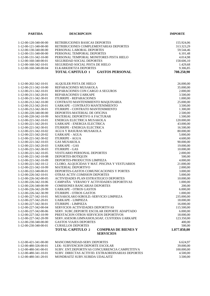| <b>PARTIDA</b>        | <b>DESCRIPCION</b>                                                        | <b>IMPORTE</b> |
|-----------------------|---------------------------------------------------------------------------|----------------|
|                       |                                                                           |                |
| 1-12-00-120-340-00-00 | RETRIBUCIONES BASICAS DEPORTES                                            | 155.924,06     |
| 1-12-00-121-340-00-00 | RETRIBUCIONES COMPLEMENTARIAS DEPORTES                                    | 313.323,29     |
| 1-12-00-130-340-00-00 | PERSONAL LABORAL DEPORTES                                                 | 59.544,46      |
| 1-12-00-131-340-00-00 | PERSONAL TEMPORAL DEPORTES                                                | 6.101,48       |
| 1-12-00-131-342-10-00 | PERSONAL TEMPORAL MONITORES PISTA HIELO                                   | 4.014,98       |
| 1-12-00-160-340-00-01 | SEGURIDAD SOCIAL DEPORTES                                                 | 158.606,10     |
| 1-12-00-160-342-10-01 | SEGURIDAD SOCIAL PISTA DE HIELO                                           | 1.429,68       |
| 1-12-00-160-340-00-04 | ELKARKIDETZA DEPORTES                                                     | 9.306,85       |
|                       | <b>TOTAL CAPITULO 1</b><br><b>GASTOS PERSONAL</b>                         | 708.250,90     |
|                       |                                                                           |                |
| 1-12-00-202-342-10-01 | ALQUILER PISTA DE HIELO                                                   | 26.000,00      |
| 1-12-00-211-342-10-00 | REPARACIONES MUSAKOLA                                                     | 35.000,00      |
| 1-12-00-211-342-10-01 | REPARACIONES CON CARGO A SEGUROS                                          | 2.000,00       |
| 1-12-00-211-342-20-01 | REPARACIONES UARKAPE                                                      | 3.500,00       |
| 1-12-00-211-342-30-01 | <b>ITURRIPE - REPARACIONES</b>                                            | 1.000,00       |
| 1-12-00-212-342-10-00 | CONTRATO MANTENIMIENTO MAQUINARIA                                         | 25.000,00      |
| 1-12-00-212-342-20-01 | UARKAPE - CONTRATO MANTENIMIENTO                                          | 3.500,00       |
| 1-12-00-212-342-30-01 | ITURRIPE - CONTRATO MANTENIMIENTO                                         | 1.300,00       |
| 1-12-00-220-340-00-00 | DEPORTES-MATERIAL DE OFICINA                                              | 2.500,00       |
| 1-12-00-220-342-10-99 | MATERIAL DEPORTIVO A FACTURAR                                             | 1.500,00       |
| 1-12-00-221-342-10-01 | ENERGIA ELECTRICA MUSAKOLA                                                | 120.000,00     |
| 1-12-00-221-342-20-01 | UARKAPE - ENERGIA ELECTRICA                                               | 43.000,00      |
| 1-12-00-221-342-30-01 | ITURRIPE - ENERGIA ELECTRICA                                              | 16.500,00      |
| 1-12-00-221-342-10-02 | AGUA Y BASURAS MUSAKOLA                                                   | 80.000,00      |
| 1-12-00-221-342-20-02 | <b>UARKAPE - AGUA</b>                                                     | 5.000,00       |
| 1-12-00-221-342-30-02 | <b>ITURRIPE - AGUA</b>                                                    | 4.600,00       |
| 1-12-00-221-342-10-03 | <b>GAS MUSAKOLA</b>                                                       | 90.000,00      |
| 1-12-00-221-342-20-03 | <b>UARKAPE - GAS</b>                                                      | 19.000,00      |
| 1-12-00-221-342-30-03 | <b>ITURRIPE - GAS</b>                                                     | 10.000,00      |
| 1-12-00-221-342-10-05 | <b>VESTUARIO PERSONAL DEPORTES</b>                                        | 2.000,00       |
| 1-12-00-221-342-10-08 | DEPORTES-BOTIQUIN                                                         | 500,00         |
| 1-12-00-221-342-10-09 | DEPORTES-PRODUCTOS LIMPIEZA                                               | 4.000,00       |
| 1-12-00-221-342-10-12 | CLORO, ALQUICIDAS Y MAT. PISCINA Y VESTUARIOS                             | 21.000,00      |
| 1-12-00-221-342-10-99 | <b>MATERIAL DEPORTIVO</b>                                                 | 2.000,00       |
| 1-12-00-222-340-00-01 | DEPORTES-GASTOS COMUNICACIONES Y PORTES                                   | 3.000,00       |
| 1-12-00-226-342-10-01 | OTRAS ACTIV.COMISION DEPORTES                                             | 5.000,00       |
| 1-12-00-226-342-00-05 | ACTIVIDADES PLAN ESTRATEGICO DEPORTES                                     | 10.000,00      |
| 1-12-00-226-342-10-06 | CAMPAÑA VERANO Y ACTIVIDADES DEPORTIVAS                                   | 1.000,00       |
| 1-12-00-226-340-00-99 | COMISIONES BANCARIAS DEPORTES                                             | 200,00         |
| 1-12-00-226-342-20-99 | <b>UARKAPE - OTROS GASTOS</b>                                             | 6.000,00       |
| 1-12-00-226-342-30-99 | <b>ITURRIPE - OTROS GASTOS</b>                                            | 1.000,00       |
| 1-12-00-227-342-10-01 | MUSAKOLAKO KIROLD.-SERVICIO LIMPIEZA                                      | 235.000,00     |
| 1-12-00-227-342-20-01 | <b>UARKAPE - LIMPIEZA</b>                                                 | 18.000,00      |
| 1-12-00-227-342-30-01 | <b>ITURRIPE - LIMPIEZA</b>                                                | 16.000,00      |
| 1-12-00-227-342-00-04 | SERVICIOS ACTIVIDADES DEPORTIVAS                                          | 115.500,00     |
| 1-12-00-227-342-00-06 | SERV. SUBC.DEPORTE ESCOLAR DEPORTE ADAPTADO                               | 6.000,00       |
| 1-12-00-227-342-10-99 | PRESTACION OTROS SERVICIOS DEPORTIVOS                                     | 18.000,00      |
| 1-12-00-227-342-20-99 | SERV.ASESOR.GIMNASIOS, SOAF, CUSTODIA UARKAPE                             | 123.350,00     |
| 1-12-00-230-340-00-00 | <b>GASTOS VIAJES DEPORTES</b>                                             | 400,00         |
| 1-12-00-230-340-00-01 | <b>CURSILLOS DEPORTES</b>                                                 | 500,00         |
|                       | <b>TOTAL CAPITULO 2</b><br><b>COMPRAS DE BIENES Y</b><br><b>SERVICIOS</b> | 1.077.850,00   |
|                       |                                                                           |                |
| 1-12-00-421-341-00-00 | MANCOMUNIDAD-SERV.DEPORTES                                                | 6.624,97       |
| 1-12-00-480-326-00-01 | LEK- SUBVENCION DEPORTE ESCOLAR                                           | 39.000,00      |
| 1-12-00-480-341-00-01 | SUBV. ENT.DEPORTIVAS CONCURRENCIA CAMPETITIVA                             | 100.000,00     |
| 1-12-00-480-341-10-01 | SUBV. DIRECTAS ACTIVID. EXTRAORDINARIAS DEPORTES                          | 4.500,00       |
| 1-12-00-480-341-20-01 | MONDRAITZ SUBV.SUBIDA UDALAITZ                                            | 3.500,00       |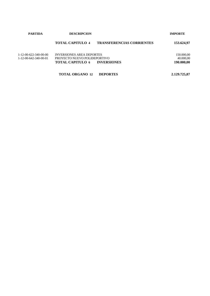| <b>PARTIDA</b>                                 | <b>DESCRIPCION</b>                                                                                                | <b>IMPORTE</b>                        |
|------------------------------------------------|-------------------------------------------------------------------------------------------------------------------|---------------------------------------|
|                                                | <b>TOTAL CAPITULO 4</b><br><b>TRANSFERENCIAS CORRIENTES</b>                                                       | 153.624,97                            |
| 1-12-00-622-340-00-00<br>1-12-00-642-340-00-01 | <b>INVERSIONES AREA DEPORTES</b><br>PROYECTO NUEVO POLIDEPORTIVO<br><b>TOTAL CAPITULO 6</b><br><b>INVERSIONES</b> | 150.000,00<br>40.000,00<br>190.000,00 |

**TOTAL ORGANO 12 DEPORTES 2.129.725,87**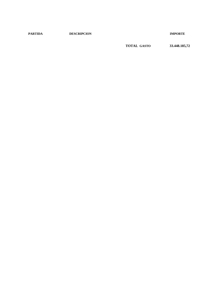**PARTIDA DESCRIPCION IMPORTE**

**TOTAL GASTO 33.448.185,72**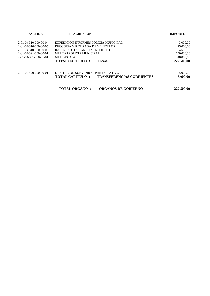| <b>PARTIDA</b>                      | <b>DESCRIPCION</b>                                   | <b>IMPORTE</b> |
|-------------------------------------|------------------------------------------------------|----------------|
| 2-01-04-310-000-00-04               | EXPEDICION INFORMES POLICIA MUNICIPAL                | 3.000,00       |
| $2 - 01 - 04 - 310 - 000 - 00 - 05$ | RECOGIDA Y RETIRADA DE VEHICULOS                     | 25.000,00      |
| 2-01-04-310-000-00-06               | INGRESOS OTA-TARJETAS RESIDENTES                     | 4.500,00       |
| $2 - 01 - 04 - 391 - 000 - 00 - 01$ | MULTAS POLICIA MUNICIPAL                             | 150.000,00     |
| $2 - 01 - 04 - 391 - 000 - 01 - 01$ | MULTAS OTA                                           | 40.000,00      |
|                                     | <b>TOTAL CAPITULO 3</b><br><b>TASAS</b>              | 222.500,00     |
| 2-01-00-420-000-00-01               | DIPUTACION SUBV. PROC. PARTICIPATIVO                 | 5.000,00       |
|                                     | <b>TRANSFERENCIAS CORRIENTES</b><br>TOTAL CAPITULO 4 | 5.000,00       |
|                                     | <b>TOTAL ORGANO 01</b><br><b>ORGANOS DE GOBIERNO</b> | 227.500.00     |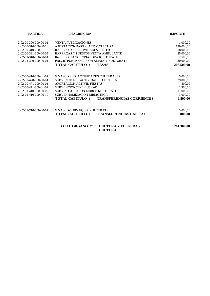| <b>PARTIDA</b>                      | <b>DESCRIPCION</b>                                          | <b>IMPORTE</b> |
|-------------------------------------|-------------------------------------------------------------|----------------|
| 2-02-00-300-000-00-01               | <b>VENTA PUBLICACIONES</b>                                  | 1.000,00       |
| 2-02-00-310-000-00-16               | APORTACION PARTIC. ACTIV.CULTURA                            | 130.000,00     |
| 2-02-00-310-000-01-16               | INGRESO POR ACTIVIDADES FESTEJO                             | 18.000,00      |
| 2-02-00-321-000-00-05               | BARRACAS Y PUESTOS VENTA AMBULANTE                          | 25.000,00      |
| 2-02-01-310-000-00-04               | INGRESOS FOTOKOPIADORA KULTURATE                            | 2.500,00       |
| 2-02-04-340-000-00-01               | PRECIO PUBLICO CESION AMAIA Y KULTURATE                     | 30.000,00      |
|                                     | <b>TOTAL CAPITULO 3</b><br><b>TASAS</b>                     | 206.500,00     |
| $2 - 02 - 00 - 410 - 000 - 01 - 01$ | <b>G.VASCO:SUB. ACTIVIDADES CULTURALES</b>                  | 5.000,00       |
| 2-02-00-420-000-00-04               | SUBVENCIONES ACTIVIDADES CULTURA                            | 29.000,00      |
| 2-02-00-471-000-00-01               | <b>APORTACION ACTIVID FIESTAS</b>                           | 500,00         |
| $2 - 02 - 00 - 471 - 000 - 01 - 02$ | SUBVENCION ZINE-EUSKADI!                                    | 1.300,00       |
| 2-02-01-410-000-00-09               | SUBV.ADOUISICION LIBROS KULTURATE                           | 11.000,00      |
| $2 - 02 - 01 - 410 - 000 - 00 - 10$ | SUBV.DINAMIZACION BIBLIOTECA                                | 3.000,00       |
|                                     | <b>TOTAL CAPITULO 4</b><br><b>TRANSFERENCIAS CORRIENTES</b> | 49.800,00      |
| 2-02-01-710-000-00-01               | G.VASCO-SUBV.EQUIP.KULTURATE                                | 5.000,00       |
|                                     | <b>TOTAL CAPITULO 7</b><br><b>TRANSFERENCIAS CAPITAL</b>    | 5.000,00       |
|                                     | <b>TOTAL ORGANO 02</b><br><b>CULTURA Y EUSKERA -</b>        | 261.300,00     |

**CULTURA**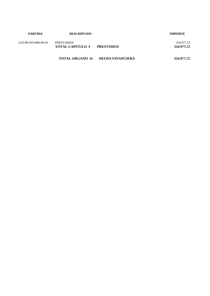| <b>PARTIDA</b>        | <b>DESCRIPCION</b>                          |                         | <b>IMPORTE</b>           |
|-----------------------|---------------------------------------------|-------------------------|--------------------------|
| 2-03-00-933-000-00-01 | <b>PRESTAMOS</b><br><b>TOTAL CAPITULO 9</b> | <b>PRESTAMOS</b>        | 334.977,72<br>334.977,72 |
|                       | <b>TOTAL ORGANO 03</b>                      | <b>DEUDA FINANCIERA</b> | 334.977,72               |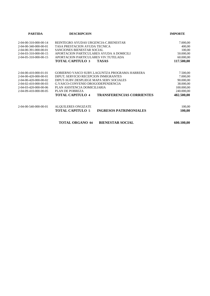| <b>PARTIDA</b>                      | <b>DESCRIPCION</b>                                          | <b>IMPORTE</b> |
|-------------------------------------|-------------------------------------------------------------|----------------|
| 2-04-00-310-000-00-14               | REINTEGRO AYUDAS URGENCIA-C.BIENESTAR                       | 7.000,00       |
| 2-04-00-340-000-00-01               | TASA PRESTACION AYUDA TECNICA                               | 400,00         |
| 2-04-00-391-000-00-01               | SANCIONES BIENESTAR SOCIAL                                  | 100,00         |
| $2-04-03-310-000-00-15$             | APORTACION PARTICULARES AYUDA A DOMICILI                    | 50.000,00      |
| 2-04-05-310-000-00-15               | APORTACION PARTICULARES VIV.TUTELADA                        | 60.000,00      |
|                                     | <b>TOTAL CAPITULO 3</b><br><b>TASAS</b>                     | 117.500,00     |
| 2-04-00-410-000-01-01               | GOBIERNO VASCO SUBV.LAGUNTZA PROGRAMA HARRERA               | 7.500,00       |
| 2-04-00-420-000-00-01               | DIPUT; SERVICIO RECEPCION INMIGRANTES                       | 7.000,00       |
| 2-04-00-420-000-00-02               | DIPUT-SUBV.DESPLIEGE MAPA SERV.SOCIALES                     | 90.000,00      |
| 2-04-02-410-000-00-03               | G.VASCO-CONVENIO DROGODEPENDENCIA                           | 38.000,00      |
| 2-04-03-420-000-00-06               | PLAN ASISTENCIA DOMICILIARIA                                | 100.000,00     |
| $2 - 04 - 09 - 410 - 000 - 00 - 05$ | PLAN DE POBREZA                                             | 240.000,00     |
|                                     | <b>TOTAL CAPITULO 4</b><br><b>TRANSFERENCIAS CORRIENTES</b> | 482.500,00     |
| 2-04-00-540-000-00-01               | ALQUILERES ONGIZATE                                         | 100,00         |
|                                     | <b>TOTAL CAPITULO 5</b><br><b>INGRESOS PATRIMONIALES</b>    | 100,00         |
|                                     | <b>TOTAL ORGANO 04</b><br><b>BIENESTAR SOCIAL</b>           | 600.100,00     |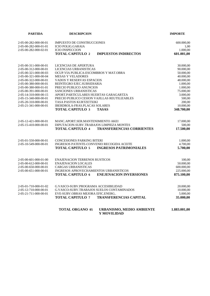| <b>PARTIDA</b>                                 | <b>DESCRIPCION</b>                                                               | <b>IMPORTE</b>         |
|------------------------------------------------|----------------------------------------------------------------------------------|------------------------|
| 2-05-00-282-000-00-01<br>2-05-00-282-000-01-01 | <b>IMPUESTO DE CONSTRUCCIONES</b><br><b>ICIO POLIG.GARAIA</b>                    | 600.000,00<br>1,00     |
| 2-05-00-282-000-02-01                          | <b>ICIO INSPECCION</b><br><b>TOTAL CAPITULO 2</b><br><b>IMPUESTOS INDIRECTOS</b> | 1.000,00<br>601.001,00 |
| 2-05-00-311-000-00-01                          | LICENCIAS DE APERTURA                                                            | 30.000,00              |
| 2-05-00-312-000-00-01                          | LICENCIAS URBANISTICAS                                                           | 90.000,00              |
| 2-05-00-321-000-00-03                          | OCUP.VIA PUBLICA-ESCOMBROS Y MAT.OBRA                                            | 50.000,00              |
| 2-05-00-321-000-00-04                          | <b>MESAS Y VELADORES</b>                                                         | 40.000,00              |
| 2-05-00-322-000-00-01                          | VADOS Y RESERVAS ESPACIOS                                                        | 48.000,00              |
| 2-05-00-380-000-00-01                          | REINTEGRO EJEC.SUBSIDIARIA                                                       | 1.000,00               |
| 2-05-00-380-000-01-01                          | PRECIO PUBLICO ANUNCIOS                                                          | 1.000,00               |
| 2-05-00-391-000-00-01                          | SANCIONES URBANISTICAS                                                           | 75.000,00              |
| 2-05-14-310-000-00-15                          | APORT.PARTICULARES HUERTAS GARAGARTZA                                            | 3.000,00               |
| 2-05-15-340-000-00-01                          | PRECIO PUBLICO CESION VAJILLAS REUTILIZABLES                                     | 500,00                 |
| 2-05-20-310-000-00-01                          | TASA PASTOS KURTZETXIKI                                                          | 200,00                 |
| 2-05-21-341-000-00-01                          | <b>IBERDROLA-FRAS.PLACAS SOLARES</b>                                             | 10.000,00              |
|                                                | <b>TOTAL CAPITULO 3</b><br><b>TASAS</b>                                          | 348.700,00             |
| 2-05-12-421-000-00-01                          | MANC.APORT.SER.MANTENIMIENTO AKEI                                                | 17.000,00              |
| 2-05-15-410-000-00-01                          | DIPUTACION-SUBV.TRABAJOS LIMPIEZA MONTES                                         | 500,00                 |
|                                                | <b>TOTAL CAPITULO 4</b><br><b>TRANSFERENCIAS CORRIENTES</b>                      | 17.500,00              |
| 2-05-01-550-000-00-01                          | <b>CONCESIONES PARKING BITERI</b>                                                | 1.000,00               |
| 2-05-10-549-000-00-01                          | INGRESOS PATENTE-CONVENIO RECOGIDA ACEITE                                        | 4.700,00               |
|                                                | <b>TOTAL CAPITULO 5</b><br><b>INGRESOS PATRIMONIALES</b>                         | 5.700,00               |
| 2-05-00-601-000-01-00                          | <b>ENAJENACION TERRENOS RUSTICOS</b>                                             | 100,00                 |
| 2-05-00-612-000-00-01                          | <b>ENAJENACION LOCALES</b>                                                       | 50.000,00              |
| 2-05-00-650-000-00-01                          | <b>CARGAS URBANISTICAS</b>                                                       | 600.000,00             |
| 2-05-00-651-000-00-01                          | <b>INGRESOS APROVECHAMIENTOS URBANISTICOS</b>                                    | 225.000,00             |
|                                                | <b>TOTAL CAPITULO 6</b><br><b>ENEJENACION INVERSIONES</b>                        | 875.100,00             |
| 2-05-01-710-000-01-02                          | G.VASCO-SUBV.PROGRAMA ACCESIBILIDAD                                              | 20.000,00              |
| 2-05-12-710-000-00-01                          | G.VASCO-SUBV.TRABAJOS SUELOS CONTAMINADOS                                        | 10.000,00              |
| 2-05-21-711-000-00-01                          | EVE-SUBV.OBRAS MEJORA EFIC.ENERG                                                 | 5.000,00               |
|                                                | <b>TOTAL CAPITULO 7</b><br><b>TRANSFERENCIAS CAPITAL</b>                         | 35.000,00              |
|                                                | <b>TOTAL ORGANO 05</b><br><b>URBANISMO, MEDIO AMBIENTE</b><br>Y MOVILIDAD        | 1.883.001,00           |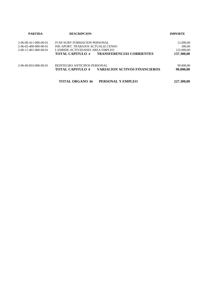| <b>PARTIDA</b>                      | <b>DESCRIPCION</b>                                              | <b>IMPORTE</b> |  |
|-------------------------------------|-----------------------------------------------------------------|----------------|--|
| 2-06-00-411-000-00-01               | <b>IVAP-SUBV.FORMACION PERSONAL</b>                             | 12.000,00      |  |
| 2-06-02-400-000-00-01               | INE-APORT. TRABAJOS ACTUALIZ.CENSO                              | 300,00         |  |
| $2 - 06 - 11 - 401 - 000 - 00 - 01$ | LANBIDE-ACTIVIDADES AREA EMPLEO                                 | 125.000,00     |  |
|                                     | <b>TRANSFERENCIAS CORRIENTES</b><br><b>TOTAL CAPITULO 4</b>     | 137.300,00     |  |
| 2-06-00-833-000-00-01               | REINTEGRO ANTICIPOS PERSONAL                                    | 90.000,00      |  |
|                                     | <b>VARIACION ACTIVOS FINANCIEROS</b><br><b>TOTAL CAPITULO 8</b> | 90.000,00      |  |
|                                     | <b>TOTAL ORGANO 06</b><br>PERSONAL Y EMPLEO                     | 227.300,00     |  |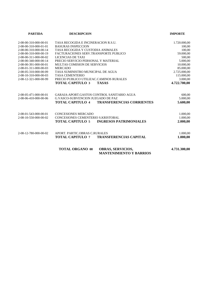| <b>PARTIDA</b>                      | <b>DESCRIPCION</b>                                                                   | <b>IMPORTE</b> |
|-------------------------------------|--------------------------------------------------------------------------------------|----------------|
| 2-08-00-310-000-00-01               | TASA RECOGIDA E INCINERACION R.S.U.                                                  | 1.720.000,00   |
| 2-08-00-310-000-01-01               | <b>BASURAS INSPECCION</b>                                                            | 100,00         |
| 2-08-00-310-000-00-14               | TASA RECOGIDA Y CUSTODIA ANIMALES                                                    | 100,00         |
| $2 - 08 - 00 - 310 - 000 - 00 - 19$ | FACTURACIONES SERV.TRANSPORTE PUBLICO                                                | 59.000,00      |
| 2-08-00-311-000-00-02               | <b>LICENCIAS DE TAXI</b>                                                             | 500,00         |
| 2-08-00-340-000-00-14               | PRECIO SERVICIO PERSONAL Y MATERIAL                                                  | 5.000,00       |
| 2-08-00-391-000-00-01               | <b>MULTAS COMISION DE SERVICIOS</b>                                                  | 10.000,00      |
| 2-08-01-311-000-00-03               | <b>MERCADO</b>                                                                       | 85.000,00      |
| 2-08-05-310-000-00-09               | TASA SUMINISTRO MUNICIPAL DE AGUA                                                    | 2.725.000,00   |
| 2-08-10-310-000-00-03               | <b>TASA CEMENTERIO</b>                                                               | 115.000,00     |
| 2-08-12-321-000-00-99               | PRECIO PUBLICO UTILIZAC.CAMINOS RURALES                                              | 3.000,00       |
|                                     | <b>TOTAL CAPITULO 3</b><br><b>TASAS</b>                                              | 4.722.700,00   |
| 2-08-05-471-000-00-01               | GARAIA-APORT.GASTOS CONTROL SANITARIO AGUA                                           | 600,00         |
| 2-08-06-410-000-00-06               | <b>G.VASCO-SUBVENCION JUZGADO DE PAZ</b>                                             | 5.000,00       |
|                                     | <b>TOTAL CAPITULO 4</b><br><b>TRANSFERENCIAS CORRIENTES</b>                          | 5.600,00       |
| 2-08-01-543-000-00-01               | <b>CONCESIONES MERCADO</b>                                                           | 1.000,00       |
| 2-08-10-550-000-00-02               | CONCESIONES CEMENTERIO S.KRISTOBAL                                                   | 1.000,00       |
|                                     | <b>TOTAL CAPITULO 5</b><br><b>INGRESOS PATRIMONIALES</b>                             | 2.000,00       |
| 2-08-12-780-000-00-02               | APORT. PARTIC.OBRAS C.RURALES                                                        | 1.000,00       |
|                                     | <b>TOTAL CAPITULO 7</b><br><b>TRANSFERENCIAS CAPITAL</b>                             | 1.000,00       |
|                                     | <b>TOTAL ORGANO 08</b><br><b>OBRAS, SERVICIOS,</b><br><b>MANTENIMIENTO Y BARRIOS</b> | 4.731.300,00   |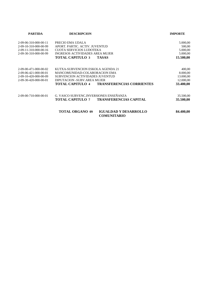| <b>PARTIDA</b>          | <b>DESCRIPCION</b>                                                           | <b>IMPORTE</b> |
|-------------------------|------------------------------------------------------------------------------|----------------|
| 2-09-06-310-000-00-11   | PRECIO EMA UDALA                                                             | 5.000,00       |
| 2-09-10-310-000-00-99   | APORT, PARTIC, ACTIV, JUVENTUD                                               | 500,00         |
| $2-09-11-310-000-00-16$ | CUOTA SERVICIOS LUDOTEKA                                                     | 5.000,00       |
| 2-09-30-310-000-00-99   | INGRESOS ACTIVIDADES AREA MUJER                                              | 5.000,00       |
|                         | <b>TOTAL CAPITULO 3</b><br><b>TASAS</b>                                      | 15.500,00      |
| 2-09-00-471-000-00-02   | KUTXA-SUBVENCION ESKOLA AGENDA 21                                            | 400,00         |
| $2-09-06-421-000-00-01$ | MANCOMUNIDAD-COLABORACION EMA                                                | 8.000,00       |
| 2-09-10-420-000-00-09   | SUBVENCION ACTIVIDADES JUVENTUD                                              | 13.000,00      |
| 2-09-30-420-000-00-01   | DIPUTACION -SUBV.AREA MUJER                                                  | 12.000,00      |
|                         | <b>TOTAL CAPITULO 4</b><br><b>TRANSFERENCIAS CORRIENTES</b>                  | 33.400,00      |
| 2-09-00-710-000-00-01   | G. VASCO SUBVENC. INVERSIONES ENSEÑANZA                                      | 35.500,00      |
|                         | TOTAL CAPITULO 7<br><b>TRANSFERENCIAS CAPITAL</b>                            | 35.500,00      |
|                         | <b>TOTAL ORGANO 09</b><br><b>IGUALDAD Y DESARROLLO</b><br><b>COMUNITARIO</b> | 84.400,00      |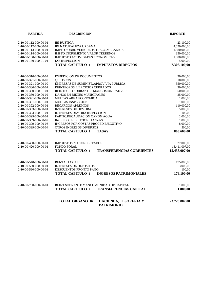| <b>PARTIDA</b>                                 | <b>DESCRIPCION</b>                                                     | <b>IMPORTE</b>     |
|------------------------------------------------|------------------------------------------------------------------------|--------------------|
| 2-10-00-112-000-00-01                          | <b>IBI RUSTICA</b>                                                     | 23.100,00          |
| 2-10-00-112-000-00-02                          | <b>IBI NATURALEZA URBANA</b>                                           | 4.050.000,00       |
| 2-10-00-113-000-00-01                          | IMPTO.SOBRE VEHICULOS TRACC.MECANICA                                   | 1.580.000,00       |
| 2-10-00-114-000-00-01                          | <b>IMPTO.INCREMENTO VALOR TERRENOS</b>                                 | 350.000,00         |
| 2-10-00-130-000-00-01                          | <b>IMPUESTO ACTIVIDADES ECONOMICAS</b>                                 | 1.300.000,00       |
| 2-10-00-130-000-01-01                          | <b>IAE INSPECCION</b>                                                  | 5.000,00           |
|                                                | <b>IMPUESTOS DIRECTOS</b><br><b>TOTAL CAPITULO 1</b>                   | 7.308.100,00       |
| 2-10-00-310-000-00-04                          | <b>EXPEDICION DE DOCUMENTOS</b>                                        | 20.000,00          |
| 2-10-00-321-000-00-02                          | <b>OUIOSCOS</b>                                                        | 10.000,00          |
| 2-10-00-321-000-00-09                          | EMPRESAS DE SUMINIST., APROV. VIA PUBLICA                              | 550.000,00         |
| 2-10-00-380-000-00-01                          | REINTEGROS EJERCICIOS CERRADOS                                         | 20.000,00          |
| 2-10-00-380-000-01-01                          | REINTEGRO SOBRANTES MANCOMUNIDAD 2018                                  | 50.000,00          |
| 2-10-00-380-000-00-02                          | DAÑOS EN BIENES MUNICIPALES                                            | 25.000,00          |
| 2-10-00-391-000-00-01                          | MULTAS AREA ECONOMICA                                                  | 1.000,00           |
| 2-10-00-391-000-01-01                          | <b>MULTAS INSPECCION</b>                                               | 1.000,00           |
| 2-10-00-392-000-00-01                          | <b>RECARGOS APREMIOS</b>                                               | 110.000,00         |
| 2-10-00-393-000-00-01                          | <b>INTERESES DE DEMORA</b>                                             | 5.000,00           |
| 2-10-00-393-000-01-01                          | <b>INTERESES DEMORA INSPECCION</b>                                     | 100,00             |
| 2-10-00-399-000-00-01                          | PARTIC.RECAUDACION CANON AGUA                                          | 2.000,00           |
| 2-10-00-399-000-00-02                          | <b>INGRESOS EJECUCION FIANZAS</b>                                      | 1.000,00           |
| 2-10-00-399-000-00-03<br>2-10-00-399-000-00-04 | INGRESOS POR COSTAS PROCED.EJECUTIVO<br><b>OTROS INGRESOS DIVERSOS</b> | 8.000,00<br>500,00 |
|                                                |                                                                        |                    |
|                                                | <b>TOTAL CAPITULO 3</b><br><b>TASAS</b>                                | 803.600,00         |
| 2-10-00-400-000-00-01                          | <b>IMPUESTOS NO CONCERTADOS</b>                                        | 27.000,00          |
| 2-10-00-420-000-00-01                          | <b>FONDO FORAL</b>                                                     | 15.411.007,00      |
|                                                | <b>TOTAL CAPITULO 4</b><br><b>TRANSFERENCIAS CORRIENTES</b>            | 15.438.007,00      |
| 2-10-00-540-000-00-01                          | RENTAS LOCALES                                                         | 175.000,00         |
| 2-10-00-560-000-00-01                          | <b>INTERESES DE DEPOSITOS</b>                                          | 3.000,00           |
| 2-10-00-590-000-00-01                          | <b>DESCUENTOS PRONTO PAGO</b>                                          | 100.00             |
|                                                | <b>TOTAL CAPITULO 5</b><br><b>INGRESOS PATRIMONIALES</b>               | 178.100,00         |
| 2-10-00-780-000-00-01                          | REINT.SOBRANTE MANCOMUNIDAD OP CAPITAL                                 | 1.000,00           |
|                                                | <b>TOTAL CAPITULO 7</b><br><b>TRANSFERENCIAS CAPITAL</b>               | 1.000,00           |
|                                                | <b>TOTAL ORGANO 10</b><br>HACIENDA, TESORERIA Y<br><b>PATRIMONIO</b>   | 23.728.807,00      |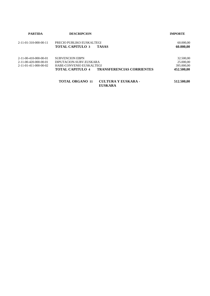| <b>PARTIDA</b>        | <b>DESCRIPCION</b>        |                                              | <b>IMPORTE</b> |  |
|-----------------------|---------------------------|----------------------------------------------|----------------|--|
| 2-11-01-310-000-00-11 | PRECIO PUBLIKO EUSKALTEGI |                                              | 60.000,00      |  |
|                       | <b>TOTAL CAPITULO 3</b>   | <b>TASAS</b>                                 | 60.000,00      |  |
| 2-11-00-410-000-00-01 | <b>SUBVENCION EBPN</b>    |                                              | 32.500,00      |  |
| 2-11-00-420-000-00-01 | DIPUTACION-SUBV.EUSKARA   |                                              | 25.000,00      |  |
| 2-11-01-411-000-00-02 | HABE-CONVENIO EUSKALTEGI  |                                              | 395.000,00     |  |
|                       | <b>TOTAL CAPITULO 4</b>   | <b>TRANSFERENCIAS CORRIENTES</b>             | 452.500,00     |  |
|                       | <b>TOTAL ORGANO 11</b>    | <b>CULTURA Y EUSKARA -</b><br><b>EUSKARA</b> | 512.500,00     |  |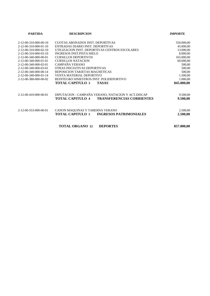| <b>PARTIDA</b>                      | <b>DESCRIPCION</b>                                          | <b>IMPORTE</b> |
|-------------------------------------|-------------------------------------------------------------|----------------|
| $2 - 12 - 00 - 310 - 000 - 00 - 10$ | <b>CUOTAS ABONADOS INST. DEPORTIVAS</b>                     | 550.000,00     |
| 2-12-00-310-000-01-10               | ENTRADAS DIARIO INST. DEPORTIVAS                            | 45.000,00      |
| $2-12-00-310-000-02-10$             | UTILIZACION INST. DEPORTIVAS CENTROS ESCOLARES              | 13.000,00      |
| 2-12-00-310-000-03-10               | INGRESOS INST.PISTA HIELO                                   | 8.000,00       |
| 2-12-00-340-000-00-01               | <b>CURSILLOS DEPORTIVOS</b>                                 | 165.000,00     |
| 2-12-00-340-000-01-01               | <b>CURSILLOS NATACION</b>                                   | 60.000,00      |
| 2-12-00-340-000-02-01               | CAMPAÑA VERANO                                              | 500,00         |
| 2-12-00-340-000-03-01               | OTRAS INICIATIVAS DEPORTIVAS                                | 500,00         |
| 2-12-00-340-000-00-14               | REPOSICION TARJETAS MAGNETICAS                              | 500,00         |
| $2 - 12 - 00 - 340 - 000 - 01 - 14$ | VENTA MATERIAL DEPORTIVO                                    | 1.500,00       |
| 2-12-00-380-000-00-02               | REINTEGRO SINIESTROS INST. POLIDEPORTIVO                    | 1.000,00       |
|                                     | <b>TOTAL CAPITULO 3</b><br><b>TASAS</b>                     | 845.000,00     |
| 2-12-00-410-000-00-01               | DIPUTACION - CAMPAÑA VERANO, NATACION Y ACT.DISCAP          | 9.500,00       |
|                                     | <b>TOTAL CAPITULO 4</b><br><b>TRANSFERENCIAS CORRIENTES</b> | 9.500,00       |
| 2-12-00-553-000-00-01               | CANON MAQUINAS Y TABERNA VERANO                             | 2.500,00       |
|                                     | <b>TOTAL CAPITULO 5</b><br><b>INGRESOS PATRIMONIALES</b>    | 2.500,00       |
|                                     | <b>TOTAL ORGANO 12</b><br><b>DEPORTES</b>                   | 857.000,00     |